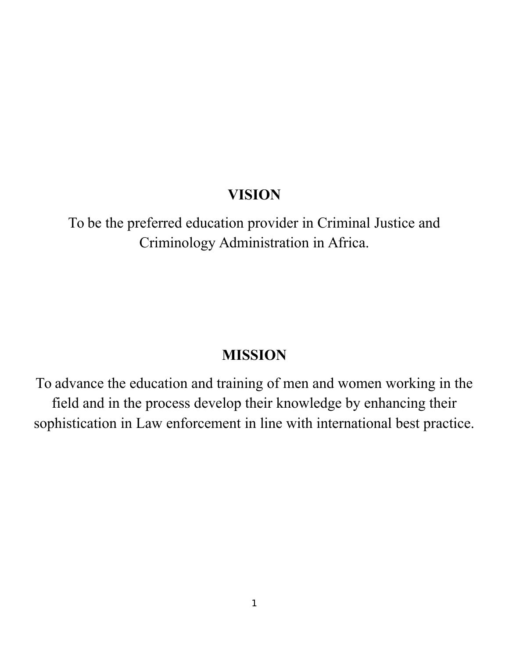# **VISION**

To be the preferred education provider in Criminal Justice and Criminology Administration in Africa.

# **MISSION**

To advance the education and training of men and women working in the field and in the process develop their knowledge by enhancing their sophistication in Law enforcement in line with international best practice.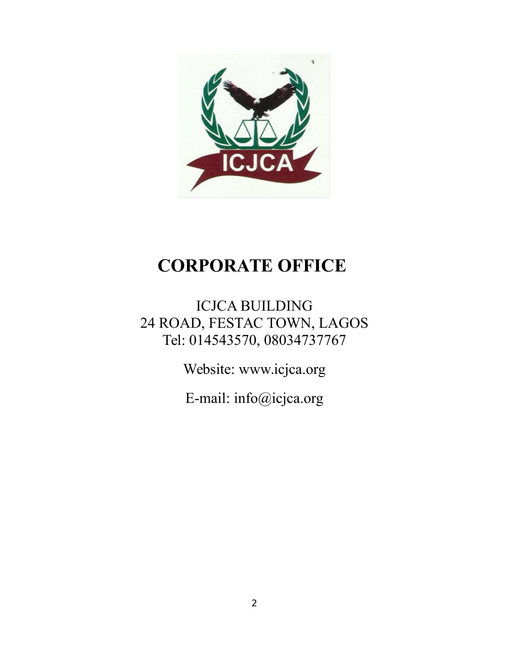

# **CORPORATE OFFICE**

ICJCA BUILDING 24 ROAD, FESTAC TOWN, LAGOS Tel: 014543570, 08034737767

Website: www.icjca.org

E-mail: info@icjca.org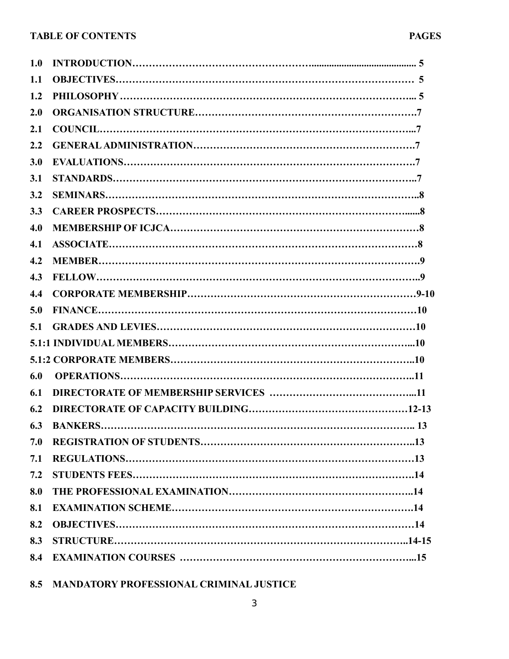| 1.0 |  |
|-----|--|
| 1.1 |  |
| 1.2 |  |
| 2.0 |  |
| 2.1 |  |
| 2.2 |  |
| 3.0 |  |
| 3.1 |  |
| 3.2 |  |
| 3.3 |  |
| 4.0 |  |
| 4.1 |  |
| 4.2 |  |
| 4.3 |  |
| 4.4 |  |
| 5.0 |  |
| 5.1 |  |
|     |  |
|     |  |
| 6.0 |  |
| 6.1 |  |
| 6.2 |  |
| 6.3 |  |
| 7.0 |  |
| 7.1 |  |
| 7.2 |  |
| 8.0 |  |
| 8.1 |  |
| 8.2 |  |
| 8.3 |  |
| 8.4 |  |
|     |  |

**8.5 MANDATORY PROFESSIONAL CRIMINAL JUSTICE**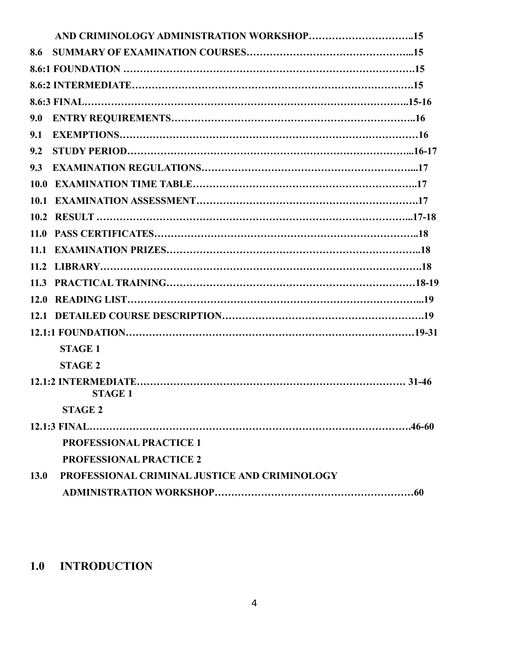| 8.6                                                   |  |
|-------------------------------------------------------|--|
|                                                       |  |
|                                                       |  |
|                                                       |  |
| 9.0                                                   |  |
| 9.1                                                   |  |
| 9.2                                                   |  |
| 9.3                                                   |  |
|                                                       |  |
| 10.1                                                  |  |
|                                                       |  |
|                                                       |  |
|                                                       |  |
|                                                       |  |
|                                                       |  |
|                                                       |  |
|                                                       |  |
|                                                       |  |
| <b>STAGE 1</b>                                        |  |
| <b>STAGE 2</b>                                        |  |
| <b>STAGE 1</b>                                        |  |
| <b>STAGE 2</b>                                        |  |
|                                                       |  |
| <b>PROFESSIONAL PRACTICE 1</b>                        |  |
| <b>PROFESSIONAL PRACTICE 2</b>                        |  |
| PROFESSIONAL CRIMINAL JUSTICE AND CRIMINOLOGY<br>13.0 |  |
|                                                       |  |

# **1.0 INTRODUCTION**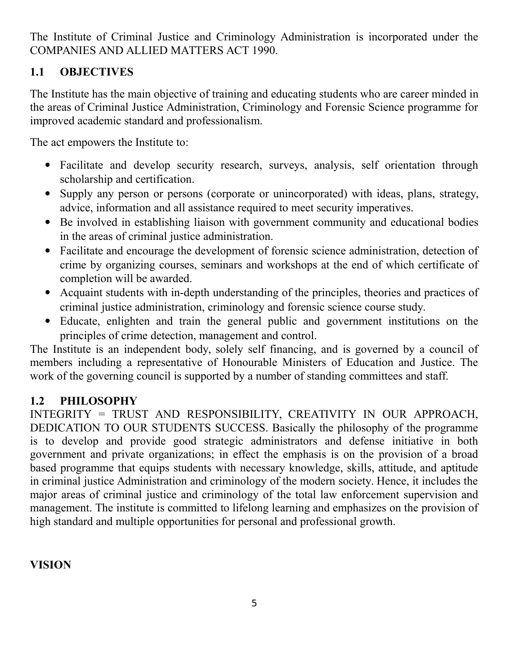The Institute of Criminal Justice and Criminology Administration is incorporated under the COMPANIES AND ALLIED MATTERS ACT 1990.

## **1.1 OBJECTIVES**

The Institute has the main objective of training and educating students who are career minded in the areas of Criminal Justice Administration, Criminology and Forensic Science programme for improved academic standard and professionalism.

The act empowers the Institute to:

- Facilitate and develop security research, surveys, analysis, self orientation through scholarship and certification.
- Supply any person or persons (corporate or unincorporated) with ideas, plans, strategy, advice, information and all assistance required to meet security imperatives.
- Be involved in establishing liaison with government community and educational bodies in the areas of criminal justice administration.
- Facilitate and encourage the development of forensic science administration, detection of crime by organizing courses, seminars and workshops at the end of which certificate of completion will be awarded.
- Acquaint students with in-depth understanding of the principles, theories and practices of criminal justice administration, criminology and forensic science course study.
- Educate, enlighten and train the general public and government institutions on the principles of crime detection, management and control.

The Institute is an independent body, solely self financing, and is governed by a council of members including a representative of Honourable Ministers of Education and Justice. The work of the governing council is supported by a number of standing committees and staff.

### **1.2 PHILOSOPHY**

INTEGRITY = TRUST AND RESPONSIBILITY, CREATIVITY IN OUR APPROACH, DEDICATION TO OUR STUDENTS SUCCESS. Basically the philosophy of the programme is to develop and provide good strategic administrators and defense initiative in both government and private organizations; in effect the emphasis is on the provision of a broad based programme that equips students with necessary knowledge, skills, attitude, and aptitude in criminal justice Administration and criminology of the modern society. Hence, it includes the major areas of criminal justice and criminology of the total law enforcement supervision and management. The institute is committed to lifelong learning and emphasizes on the provision of high standard and multiple opportunities for personal and professional growth.

### **VISION**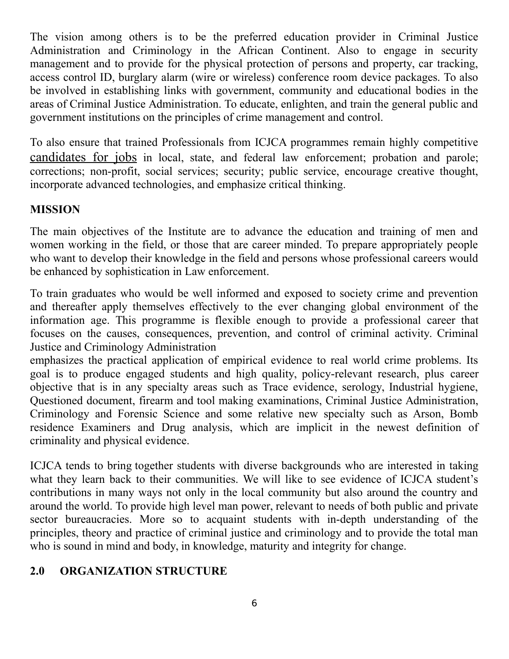The vision among others is to be the preferred education provider in Criminal Justice Administration and Criminology in the African Continent. Also to engage in security management and to provide for the physical protection of persons and property, car tracking, access control ID, burglary alarm (wire or wireless) conference room device packages. To also be involved in establishing links with government, community and educational bodies in the areas of Criminal Justice Administration. To educate, enlighten, and train the general public and government institutions on the principles of crime management and control.

To also ensure that trained Professionals from ICJCA programmes remain highly competitive [candidates for jobs](http://www.pdx.edu/hatfieldschool/criminology-and-criminal-justice-careers) in local, state, and federal law enforcement; probation and parole; corrections; non-profit, social services; security; public service, encourage creative thought, incorporate advanced technologies, and emphasize critical thinking.

### **MISSION**

The main objectives of the Institute are to advance the education and training of men and women working in the field, or those that are career minded. To prepare appropriately people who want to develop their knowledge in the field and persons whose professional careers would be enhanced by sophistication in Law enforcement.

To train graduates who would be well informed and exposed to society crime and prevention and thereafter apply themselves effectively to the ever changing global environment of the information age. This programme is flexible enough to provide a professional career that focuses on the causes, consequences, prevention, and control of criminal activity. Criminal Justice and Criminology Administration

emphasizes the practical application of empirical evidence to real world crime problems. Its goal is to produce engaged students and high quality, policy-relevant research, plus career objective that is in any specialty areas such as Trace evidence, serology, Industrial hygiene, Questioned document, firearm and tool making examinations, Criminal Justice Administration, Criminology and Forensic Science and some relative new specialty such as Arson, Bomb residence Examiners and Drug analysis, which are implicit in the newest definition of criminality and physical evidence.

ICJCA tends to bring together students with diverse backgrounds who are interested in taking what they learn back to their communities. We will like to see evidence of ICJCA student's contributions in many ways not only in the local community but also around the country and around the world. To provide high level man power, relevant to needs of both public and private sector bureaucracies. More so to acquaint students with in-depth understanding of the principles, theory and practice of criminal justice and criminology and to provide the total man who is sound in mind and body, in knowledge, maturity and integrity for change.

### **2.0 ORGANIZATION STRUCTURE**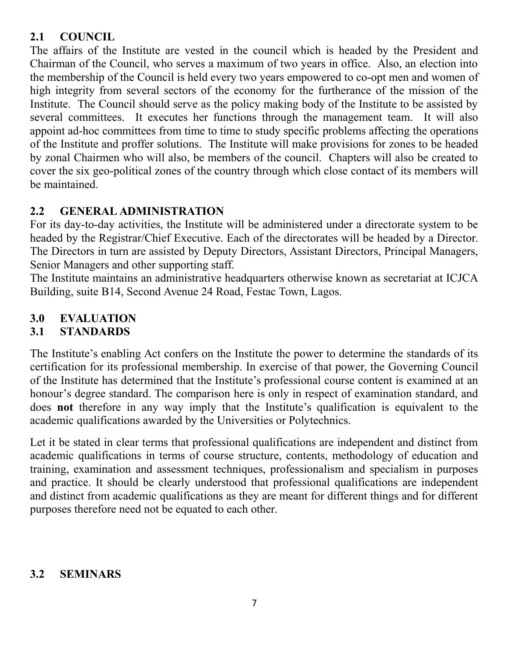### **2.1 COUNCIL**

The affairs of the Institute are vested in the council which is headed by the President and Chairman of the Council, who serves a maximum of two years in office. Also, an election into the membership of the Council is held every two years empowered to co-opt men and women of high integrity from several sectors of the economy for the furtherance of the mission of the Institute. The Council should serve as the policy making body of the Institute to be assisted by several committees. It executes her functions through the management team. It will also appoint ad-hoc committees from time to time to study specific problems affecting the operations of the Institute and proffer solutions. The Institute will make provisions for zones to be headed by zonal Chairmen who will also, be members of the council. Chapters will also be created to cover the six geo-political zones of the country through which close contact of its members will be maintained.

### **2.2 GENERAL ADMINISTRATION**

For its day-to-day activities, the Institute will be administered under a directorate system to be headed by the Registrar/Chief Executive. Each of the directorates will be headed by a Director. The Directors in turn are assisted by Deputy Directors, Assistant Directors, Principal Managers, Senior Managers and other supporting staff.

The Institute maintains an administrative headquarters otherwise known as secretariat at ICJCA Building, suite B14, Second Avenue 24 Road, Festac Town, Lagos.

## **3.0 EVALUATION**

### **3.1 STANDARDS**

The Institute's enabling Act confers on the Institute the power to determine the standards of its certification for its professional membership. In exercise of that power, the Governing Council of the Institute has determined that the Institute's professional course content is examined at an honour's degree standard. The comparison here is only in respect of examination standard, and does **not** therefore in any way imply that the Institute's qualification is equivalent to the academic qualifications awarded by the Universities or Polytechnics.

Let it be stated in clear terms that professional qualifications are independent and distinct from academic qualifications in terms of course structure, contents, methodology of education and training, examination and assessment techniques, professionalism and specialism in purposes and practice. It should be clearly understood that professional qualifications are independent and distinct from academic qualifications as they are meant for different things and for different purposes therefore need not be equated to each other.

### **3.2 SEMINARS**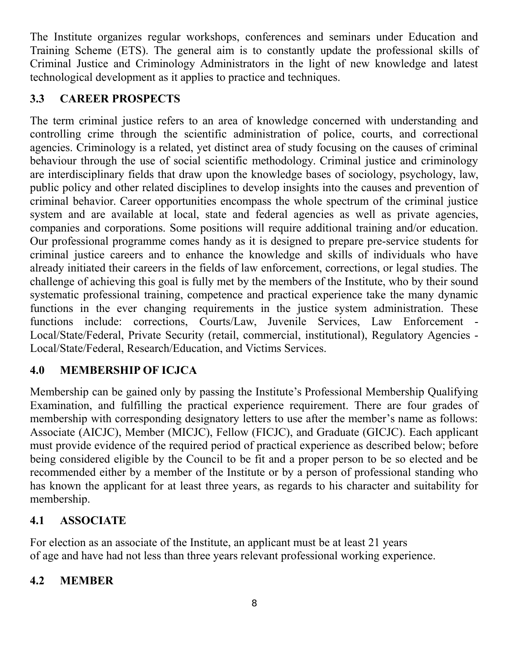The Institute organizes regular workshops, conferences and seminars under Education and Training Scheme (ETS). The general aim is to constantly update the professional skills of Criminal Justice and Criminology Administrators in the light of new knowledge and latest technological development as it applies to practice and techniques.

### **3.3 CAREER PROSPECTS**

The term criminal justice refers to an area of knowledge concerned with understanding and controlling crime through the scientific administration of police, courts, and correctional agencies. Criminology is a related, yet distinct area of study focusing on the causes of criminal behaviour through the use of social scientific methodology. Criminal justice and criminology are interdisciplinary fields that draw upon the knowledge bases of sociology, psychology, law, public policy and other related disciplines to develop insights into the causes and prevention of criminal behavior. Career opportunities encompass the whole spectrum of the criminal justice system and are available at local, state and federal agencies as well as private agencies, companies and corporations. Some positions will require additional training and/or education. Our professional programme comes handy as it is designed to prepare pre-service students for criminal justice careers and to enhance the knowledge and skills of individuals who have already initiated their careers in the fields of law enforcement, corrections, or legal studies. The challenge of achieving this goal is fully met by the members of the Institute, who by their sound systematic professional training, competence and practical experience take the many dynamic functions in the ever changing requirements in the justice system administration. These functions include: corrections, Courts/Law, Juvenile Services, Law Enforcement - Local/State/Federal, Private Security (retail, commercial, institutional), Regulatory Agencies - Local/State/Federal, Research/Education, and Victims Services.

## **4.0 MEMBERSHIP OF ICJCA**

Membership can be gained only by passing the Institute's Professional Membership Qualifying Examination, and fulfilling the practical experience requirement. There are four grades of membership with corresponding designatory letters to use after the member's name as follows: Associate (AICJC), Member (MICJC), Fellow (FICJC), and Graduate (GICJC). Each applicant must provide evidence of the required period of practical experience as described below; before being considered eligible by the Council to be fit and a proper person to be so elected and be recommended either by a member of the Institute or by a person of professional standing who has known the applicant for at least three years, as regards to his character and suitability for membership.

## **4.1 ASSOCIATE**

For election as an associate of the Institute, an applicant must be at least 21 years of age and have had not less than three years relevant professional working experience.

### **4.2 MEMBER**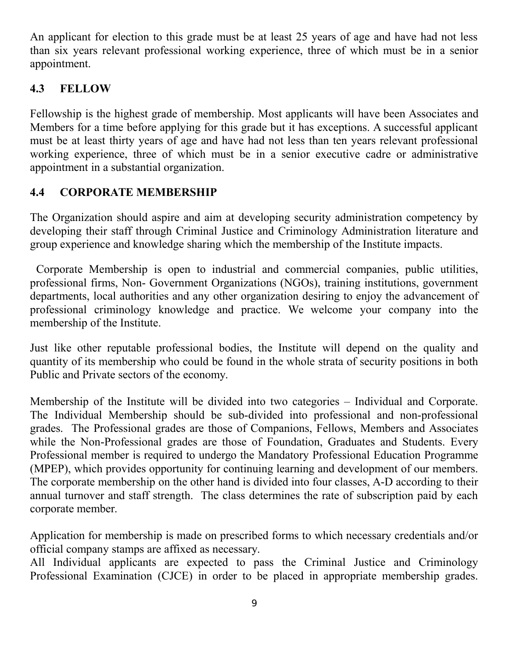An applicant for election to this grade must be at least 25 years of age and have had not less than six years relevant professional working experience, three of which must be in a senior appointment.

### **4.3 FELLOW**

Fellowship is the highest grade of membership. Most applicants will have been Associates and Members for a time before applying for this grade but it has exceptions. A successful applicant must be at least thirty years of age and have had not less than ten years relevant professional working experience, three of which must be in a senior executive cadre or administrative appointment in a substantial organization.

## **4.4 CORPORATE MEMBERSHIP**

The Organization should aspire and aim at developing security administration competency by developing their staff through Criminal Justice and Criminology Administration literature and group experience and knowledge sharing which the membership of the Institute impacts.

 Corporate Membership is open to industrial and commercial companies, public utilities, professional firms, Non- Government Organizations (NGOs), training institutions, government departments, local authorities and any other organization desiring to enjoy the advancement of professional criminology knowledge and practice. We welcome your company into the membership of the Institute.

Just like other reputable professional bodies, the Institute will depend on the quality and quantity of its membership who could be found in the whole strata of security positions in both Public and Private sectors of the economy.

Membership of the Institute will be divided into two categories – Individual and Corporate. The Individual Membership should be sub-divided into professional and non-professional grades. The Professional grades are those of Companions, Fellows, Members and Associates while the Non-Professional grades are those of Foundation, Graduates and Students. Every Professional member is required to undergo the Mandatory Professional Education Programme (MPEP), which provides opportunity for continuing learning and development of our members. The corporate membership on the other hand is divided into four classes, A-D according to their annual turnover and staff strength. The class determines the rate of subscription paid by each corporate member.

Application for membership is made on prescribed forms to which necessary credentials and/or official company stamps are affixed as necessary.

All Individual applicants are expected to pass the Criminal Justice and Criminology Professional Examination (CJCE) in order to be placed in appropriate membership grades.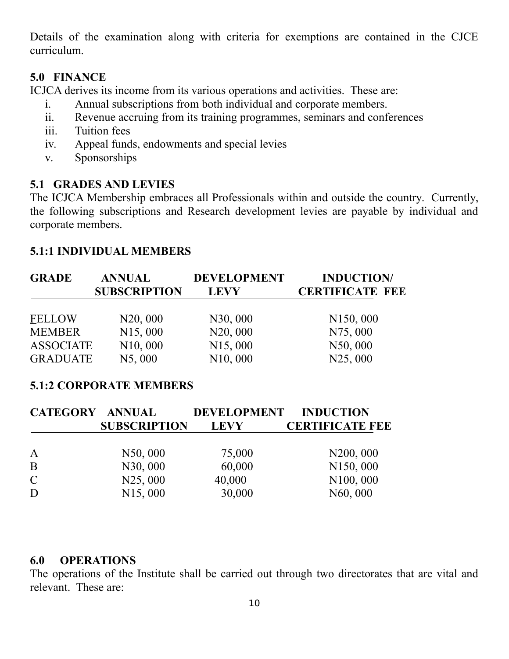Details of the examination along with criteria for exemptions are contained in the CJCE curriculum.

### **5.0 FINANCE**

ICJCA derives its income from its various operations and activities. These are:

- i. Annual subscriptions from both individual and corporate members.
- ii. Revenue accruing from its training programmes, seminars and conferences
- iii. Tuition fees
- iv. Appeal funds, endowments and special levies
- v. Sponsorships

### **5.1 GRADES AND LEVIES**

The ICJCA Membership embraces all Professionals within and outside the country. Currently, the following subscriptions and Research development levies are payable by individual and corporate members.

#### **5.1:1 INDIVIDUAL MEMBERS**

| <b>GRADE</b>     | <b>ANNUAL</b>         | <b>DEVELOPMENT</b>    | <b>INDUCTION/</b>      |  |
|------------------|-----------------------|-----------------------|------------------------|--|
|                  | <b>SUBSCRIPTION</b>   | <b>LEVY</b>           | <b>CERTIFICATE FEE</b> |  |
| <b>FELLOW</b>    | N20,000               | N30,000               | N <sub>150</sub> , 000 |  |
| <b>MEMBER</b>    | N <sub>15</sub> ,000  | N20,000               | N75,000                |  |
| <b>ASSOCIATE</b> | N <sub>10</sub> , 000 | N <sub>15</sub> ,000  | N50,000                |  |
| <b>GRADUATE</b>  | N5,000                | N <sub>10</sub> , 000 | N25,000                |  |

### **5.1:2 CORPORATE MEMBERS**

| <b>CATEGORY ANNUAL</b> |                     | DEVELOPMENT INDUCTION |                        |
|------------------------|---------------------|-----------------------|------------------------|
|                        | <b>SUBSCRIPTION</b> | <b>LEVY</b>           | <b>CERTIFICATE FEE</b> |
|                        |                     |                       |                        |
| $\mathbf A$            | N50,000             | 75,000                | N <sub>200</sub> , 000 |
| B                      | N30,000             | 60,000                | N150,000               |
| $\mathcal{C}$          | N25,000             | 40,000                | N100,000               |
| D                      | N15,000             | 30,000                | N60,000                |

#### **6.0 OPERATIONS**

The operations of the Institute shall be carried out through two directorates that are vital and relevant. These are: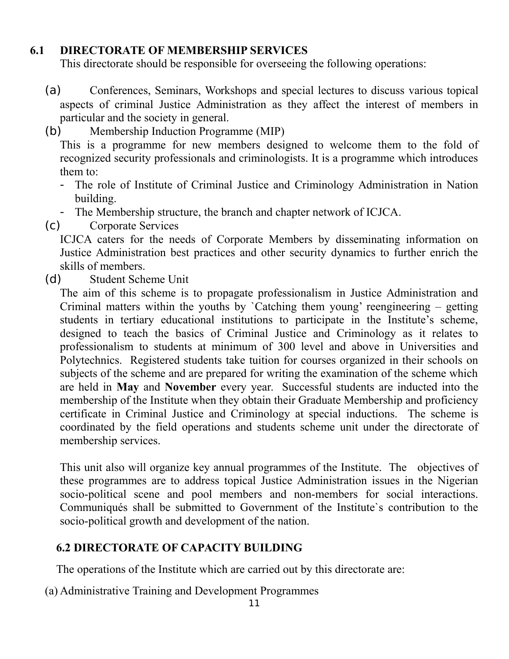### **6.1 DIRECTORATE OF MEMBERSHIP SERVICES**

This directorate should be responsible for overseeing the following operations:

- (a) Conferences, Seminars, Workshops and special lectures to discuss various topical aspects of criminal Justice Administration as they affect the interest of members in particular and the society in general.
- (b) Membership Induction Programme (MIP)

This is a programme for new members designed to welcome them to the fold of recognized security professionals and criminologists. It is a programme which introduces them to:

- The role of Institute of Criminal Justice and Criminology Administration in Nation building.
- The Membership structure, the branch and chapter network of ICJCA.
- (c) Corporate Services

ICJCA caters for the needs of Corporate Members by disseminating information on Justice Administration best practices and other security dynamics to further enrich the skills of members.

(d) Student Scheme Unit

The aim of this scheme is to propagate professionalism in Justice Administration and Criminal matters within the youths by `Catching them young' reengineering – getting students in tertiary educational institutions to participate in the Institute's scheme, designed to teach the basics of Criminal Justice and Criminology as it relates to professionalism to students at minimum of 300 level and above in Universities and Polytechnics. Registered students take tuition for courses organized in their schools on subjects of the scheme and are prepared for writing the examination of the scheme which are held in **May** and **November** every year. Successful students are inducted into the membership of the Institute when they obtain their Graduate Membership and proficiency certificate in Criminal Justice and Criminology at special inductions. The scheme is coordinated by the field operations and students scheme unit under the directorate of membership services.

This unit also will organize key annual programmes of the Institute. The objectives of these programmes are to address topical Justice Administration issues in the Nigerian socio-political scene and pool members and non-members for social interactions. Communiqués shall be submitted to Government of the Institute`s contribution to the socio-political growth and development of the nation.

### **6.2 DIRECTORATE OF CAPACITY BUILDING**

The operations of the Institute which are carried out by this directorate are:

(a) Administrative Training and Development Programmes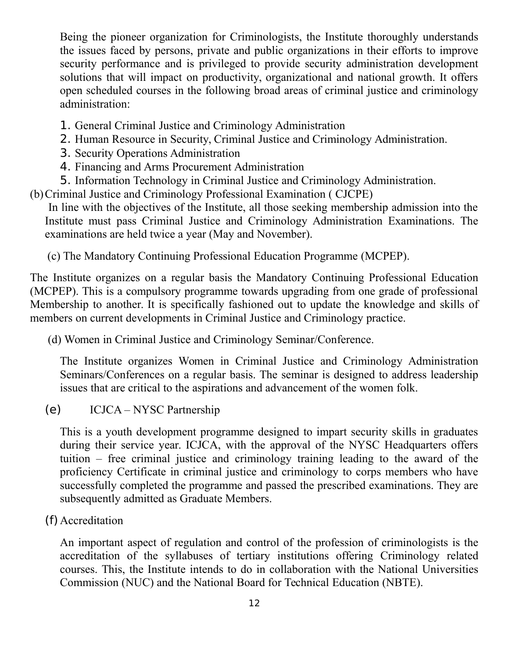Being the pioneer organization for Criminologists, the Institute thoroughly understands the issues faced by persons, private and public organizations in their efforts to improve security performance and is privileged to provide security administration development solutions that will impact on productivity, organizational and national growth. It offers open scheduled courses in the following broad areas of criminal justice and criminology administration:

- 1. General Criminal Justice and Criminology Administration
- 2. Human Resource in Security, Criminal Justice and Criminology Administration.
- 3. Security Operations Administration
- 4. Financing and Arms Procurement Administration
- 5. Information Technology in Criminal Justice and Criminology Administration.
- (b)Criminal Justice and Criminology Professional Examination ( CJCPE)

In line with the objectives of the Institute, all those seeking membership admission into the Institute must pass Criminal Justice and Criminology Administration Examinations. The examinations are held twice a year (May and November).

(c) The Mandatory Continuing Professional Education Programme (MCPEP).

The Institute organizes on a regular basis the Mandatory Continuing Professional Education (MCPEP). This is a compulsory programme towards upgrading from one grade of professional Membership to another. It is specifically fashioned out to update the knowledge and skills of members on current developments in Criminal Justice and Criminology practice.

(d) Women in Criminal Justice and Criminology Seminar/Conference.

The Institute organizes Women in Criminal Justice and Criminology Administration Seminars/Conferences on a regular basis. The seminar is designed to address leadership issues that are critical to the aspirations and advancement of the women folk.

(e) ICJCA – NYSC Partnership

This is a youth development programme designed to impart security skills in graduates during their service year. ICJCA, with the approval of the NYSC Headquarters offers tuition – free criminal justice and criminology training leading to the award of the proficiency Certificate in criminal justice and criminology to corps members who have successfully completed the programme and passed the prescribed examinations. They are subsequently admitted as Graduate Members.

(f) Accreditation

An important aspect of regulation and control of the profession of criminologists is the accreditation of the syllabuses of tertiary institutions offering Criminology related courses. This, the Institute intends to do in collaboration with the National Universities Commission (NUC) and the National Board for Technical Education (NBTE).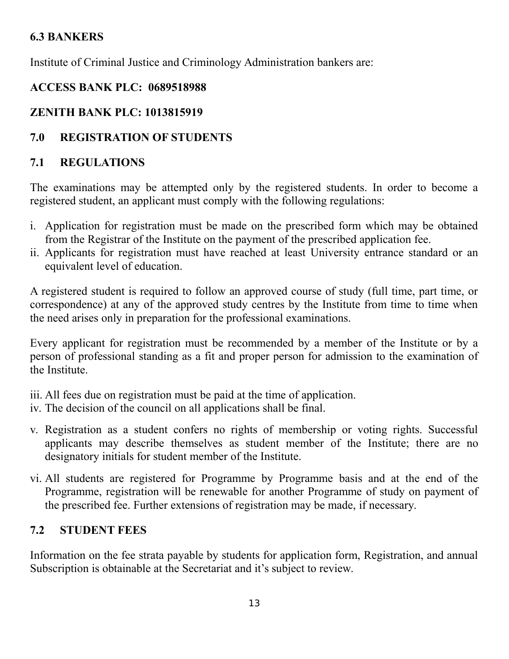### **6.3 BANKERS**

Institute of Criminal Justice and Criminology Administration bankers are:

### **ACCESS BANK PLC: 0689518988**

## **ZENITH BANK PLC: 1013815919**

## **7.0 REGISTRATION OF STUDENTS**

## **7.1 REGULATIONS**

The examinations may be attempted only by the registered students. In order to become a registered student, an applicant must comply with the following regulations:

- i. Application for registration must be made on the prescribed form which may be obtained from the Registrar of the Institute on the payment of the prescribed application fee.
- ii. Applicants for registration must have reached at least University entrance standard or an equivalent level of education.

A registered student is required to follow an approved course of study (full time, part time, or correspondence) at any of the approved study centres by the Institute from time to time when the need arises only in preparation for the professional examinations.

Every applicant for registration must be recommended by a member of the Institute or by a person of professional standing as a fit and proper person for admission to the examination of the Institute.

- iii. All fees due on registration must be paid at the time of application.
- iv. The decision of the council on all applications shall be final.
- v. Registration as a student confers no rights of membership or voting rights. Successful applicants may describe themselves as student member of the Institute; there are no designatory initials for student member of the Institute.
- vi. All students are registered for Programme by Programme basis and at the end of the Programme, registration will be renewable for another Programme of study on payment of the prescribed fee. Further extensions of registration may be made, if necessary.

## **7.2 STUDENT FEES**

Information on the fee strata payable by students for application form, Registration, and annual Subscription is obtainable at the Secretariat and it's subject to review.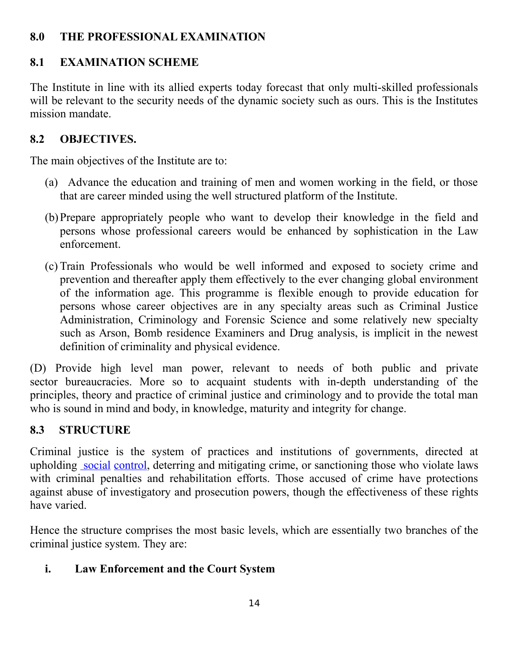### **8.0 THE PROFESSIONAL EXAMINATION**

# **8.1 EXAMINATION SCHEME**

The Institute in line with its allied experts today forecast that only multi-skilled professionals will be relevant to the security needs of the dynamic society such as ours. This is the Institutes mission mandate.

# **8.2 OBJECTIVES.**

The main objectives of the Institute are to:

- (a) Advance the education and training of men and women working in the field, or those that are career minded using the well structured platform of the Institute.
- (b)Prepare appropriately people who want to develop their knowledge in the field and persons whose professional careers would be enhanced by sophistication in the Law enforcement.
- (c) Train Professionals who would be well informed and exposed to society crime and prevention and thereafter apply them effectively to the ever changing global environment of the information age. This programme is flexible enough to provide education for persons whose career objectives are in any specialty areas such as Criminal Justice Administration, Criminology and Forensic Science and some relatively new specialty such as Arson, Bomb residence Examiners and Drug analysis, is implicit in the newest definition of criminality and physical evidence.

(D) Provide high level man power, relevant to needs of both public and private sector bureaucracies. More so to acquaint students with in-depth understanding of the principles, theory and practice of criminal justice and criminology and to provide the total man who is sound in mind and body, in knowledge, maturity and integrity for change.

# **8.3 STRUCTURE**

Criminal justice is the system of practices and institutions of governments, directed at upholding social [control,](http://en.wikipedia.org/wiki/Social_control) deterring and mitigating crime, or sanctioning those who violate laws with criminal penalties and rehabilitation efforts. Those accused of crime have protections against abuse of investigatory and prosecution powers, though the effectiveness of these rights have varied.

Hence the structure comprises the most basic levels, which are essentially two branches of the criminal justice system. They are:

# **i. Law Enforcement and the Court System**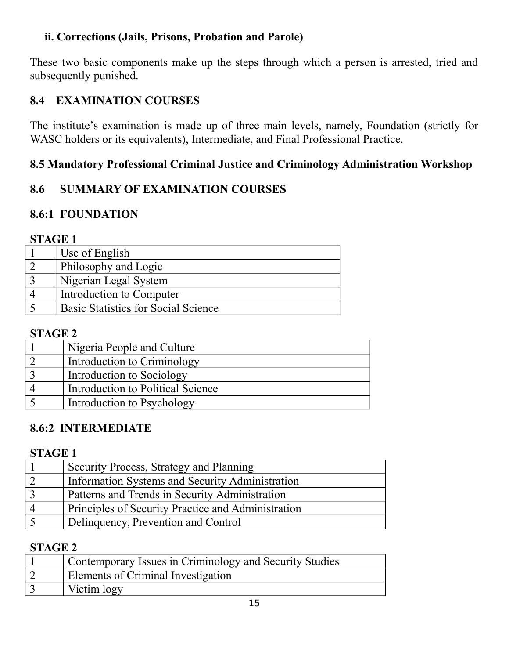### **ii. Corrections (Jails, Prisons, Probation and Parole)**

These two basic components make up the steps through which a person is arrested, tried and subsequently punished.

### **8.4 EXAMINATION COURSES**

The institute's examination is made up of three main levels, namely, Foundation (strictly for WASC holders or its equivalents), Intermediate, and Final Professional Practice.

### **8.5 Mandatory Professional Criminal Justice and Criminology Administration Workshop**

### **8.6 SUMMARY OF EXAMINATION COURSES**

## **8.6:1 FOUNDATION**

### **STAGE 1**

| Use of English                             |
|--------------------------------------------|
| Philosophy and Logic                       |
| Nigerian Legal System                      |
| Introduction to Computer                   |
| <b>Basic Statistics for Social Science</b> |

### **STAGE 2**

| Nigeria People and Culture        |
|-----------------------------------|
| Introduction to Criminology       |
| Introduction to Sociology         |
| Introduction to Political Science |
| Introduction to Psychology        |

### **8.6:2 INTERMEDIATE**

#### **STAGE 1**

| Security Process, Strategy and Planning            |
|----------------------------------------------------|
| Information Systems and Security Administration    |
| Patterns and Trends in Security Administration     |
| Principles of Security Practice and Administration |
| Delinquency, Prevention and Control                |

#### **STAGE 2**

| Contemporary Issues in Criminology and Security Studies |
|---------------------------------------------------------|
| Elements of Criminal Investigation                      |
| Victim logy                                             |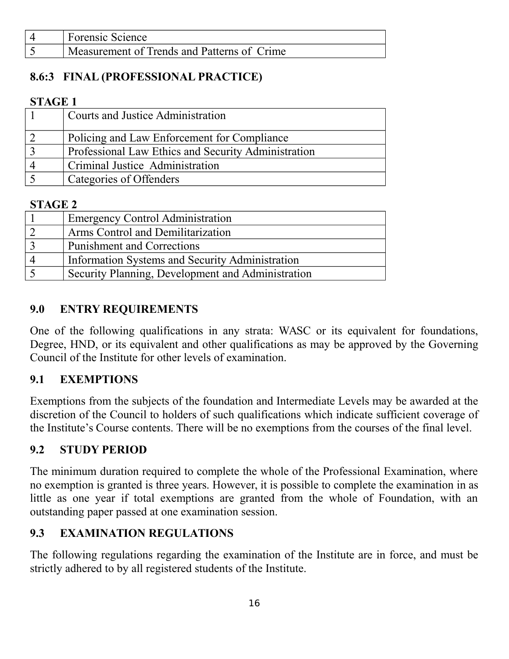| <b>Forensic Science</b>                     |
|---------------------------------------------|
| Measurement of Trends and Patterns of Crime |

## **8.6:3 FINAL (PROFESSIONAL PRACTICE)**

#### **STAGE 1**

| <b>Courts and Justice Administration</b>            |
|-----------------------------------------------------|
| Policing and Law Enforcement for Compliance         |
| Professional Law Ethics and Security Administration |
| Criminal Justice Administration                     |
| Categories of Offenders                             |

### **STAGE 2**

| <b>Emergency Control Administration</b>           |
|---------------------------------------------------|
| Arms Control and Demilitarization                 |
| <b>Punishment and Corrections</b>                 |
| Information Systems and Security Administration   |
| Security Planning, Development and Administration |

### **9.0 ENTRY REQUIREMENTS**

One of the following qualifications in any strata: WASC or its equivalent for foundations, Degree, HND, or its equivalent and other qualifications as may be approved by the Governing Council of the Institute for other levels of examination.

### **9.1 EXEMPTIONS**

Exemptions from the subjects of the foundation and Intermediate Levels may be awarded at the discretion of the Council to holders of such qualifications which indicate sufficient coverage of the Institute's Course contents. There will be no exemptions from the courses of the final level.

### **9.2 STUDY PERIOD**

The minimum duration required to complete the whole of the Professional Examination, where no exemption is granted is three years. However, it is possible to complete the examination in as little as one year if total exemptions are granted from the whole of Foundation, with an outstanding paper passed at one examination session.

### **9.3 EXAMINATION REGULATIONS**

The following regulations regarding the examination of the Institute are in force, and must be strictly adhered to by all registered students of the Institute.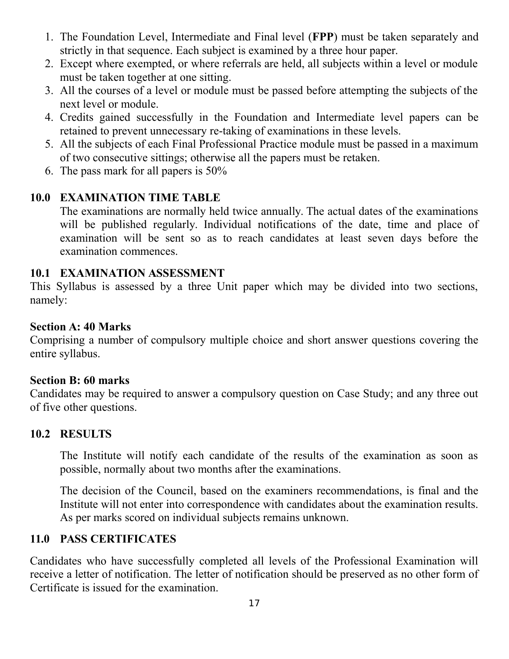- 1. The Foundation Level, Intermediate and Final level (**FPP**) must be taken separately and strictly in that sequence. Each subject is examined by a three hour paper.
- 2. Except where exempted, or where referrals are held, all subjects within a level or module must be taken together at one sitting.
- 3. All the courses of a level or module must be passed before attempting the subjects of the next level or module.
- 4. Credits gained successfully in the Foundation and Intermediate level papers can be retained to prevent unnecessary re-taking of examinations in these levels.
- 5. All the subjects of each Final Professional Practice module must be passed in a maximum of two consecutive sittings; otherwise all the papers must be retaken.
- 6. The pass mark for all papers is 50%

### **10.0 EXAMINATION TIME TABLE**

The examinations are normally held twice annually. The actual dates of the examinations will be published regularly. Individual notifications of the date, time and place of examination will be sent so as to reach candidates at least seven days before the examination commences.

#### **10.1 EXAMINATION ASSESSMENT**

This Syllabus is assessed by a three Unit paper which may be divided into two sections, namely:

#### **Section A: 40 Marks**

Comprising a number of compulsory multiple choice and short answer questions covering the entire syllabus.

#### **Section B: 60 marks**

Candidates may be required to answer a compulsory question on Case Study; and any three out of five other questions.

### **10.2 RESULTS**

The Institute will notify each candidate of the results of the examination as soon as possible, normally about two months after the examinations.

The decision of the Council, based on the examiners recommendations, is final and the Institute will not enter into correspondence with candidates about the examination results. As per marks scored on individual subjects remains unknown.

### **11.0 PASS CERTIFICATES**

Candidates who have successfully completed all levels of the Professional Examination will receive a letter of notification. The letter of notification should be preserved as no other form of Certificate is issued for the examination.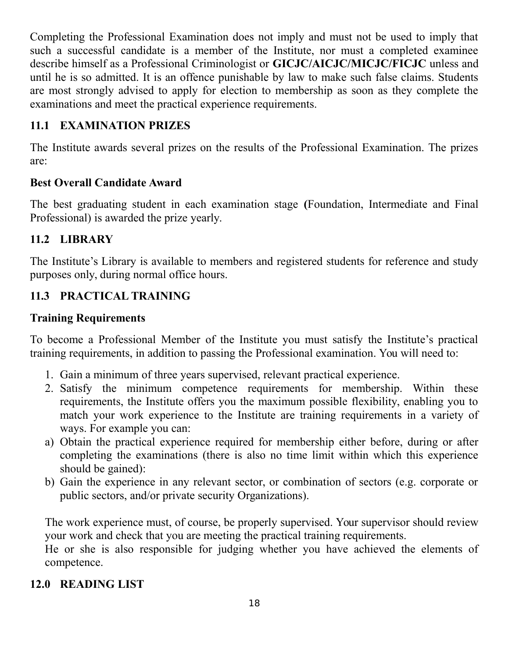Completing the Professional Examination does not imply and must not be used to imply that such a successful candidate is a member of the Institute, nor must a completed examinee describe himself as a Professional Criminologist or **GICJC/AICJC/MICJC/FICJC** unless and until he is so admitted. It is an offence punishable by law to make such false claims. Students are most strongly advised to apply for election to membership as soon as they complete the examinations and meet the practical experience requirements.

### **11.1 EXAMINATION PRIZES**

The Institute awards several prizes on the results of the Professional Examination. The prizes are:

#### **Best Overall Candidate Award**

The best graduating student in each examination stage **(**Foundation, Intermediate and Final Professional) is awarded the prize yearly.

### **11.2 LIBRARY**

The Institute's Library is available to members and registered students for reference and study purposes only, during normal office hours.

### **11.3 PRACTICAL TRAINING**

#### **Training Requirements**

To become a Professional Member of the Institute you must satisfy the Institute's practical training requirements, in addition to passing the Professional examination. You will need to:

- 1. Gain a minimum of three years supervised, relevant practical experience.
- 2. Satisfy the minimum competence requirements for membership. Within these requirements, the Institute offers you the maximum possible flexibility, enabling you to match your work experience to the Institute are training requirements in a variety of ways. For example you can:
- a) Obtain the practical experience required for membership either before, during or after completing the examinations (there is also no time limit within which this experience should be gained):
- b) Gain the experience in any relevant sector, or combination of sectors (e.g. corporate or public sectors, and/or private security Organizations).

The work experience must, of course, be properly supervised. Your supervisor should review your work and check that you are meeting the practical training requirements.

He or she is also responsible for judging whether you have achieved the elements of competence.

### **12.0 READING LIST**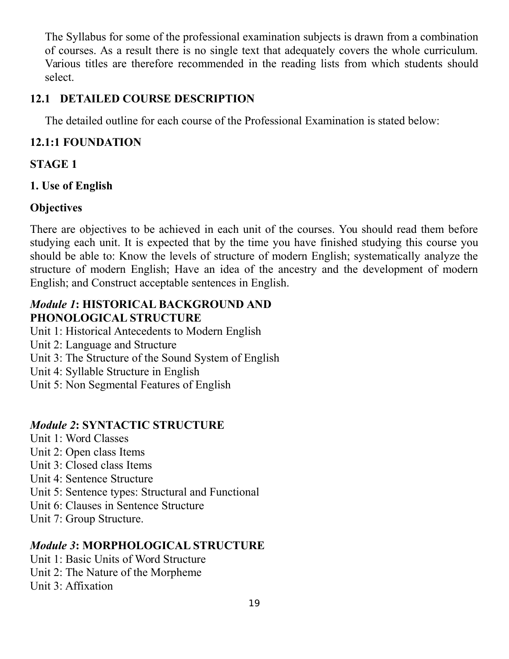The Syllabus for some of the professional examination subjects is drawn from a combination of courses. As a result there is no single text that adequately covers the whole curriculum. Various titles are therefore recommended in the reading lists from which students should select.

### **12.1 DETAILED COURSE DESCRIPTION**

The detailed outline for each course of the Professional Examination is stated below:

## **12.1:1 FOUNDATION**

## **STAGE 1**

## **1. Use of English**

## **Objectives**

There are objectives to be achieved in each unit of the courses. You should read them before studying each unit. It is expected that by the time you have finished studying this course you should be able to: Know the levels of structure of modern English; systematically analyze the structure of modern English; Have an idea of the ancestry and the development of modern English; and Construct acceptable sentences in English.

### *Module 1***: HISTORICAL BACKGROUND AND PHONOLOGICAL STRUCTURE**

- Unit 1: Historical Antecedents to Modern English
- Unit 2: Language and Structure
- Unit 3: The Structure of the Sound System of English
- Unit 4: Syllable Structure in English
- Unit 5: Non Segmental Features of English

## *Module 2***: SYNTACTIC STRUCTURE**

- Unit 1: Word Classes
- Unit 2: Open class Items
- Unit 3: Closed class Items
- Unit 4: Sentence Structure
- Unit 5: Sentence types: Structural and Functional
- Unit 6: Clauses in Sentence Structure
- Unit 7: Group Structure.

## *Module 3***: MORPHOLOGICAL STRUCTURE**

- Unit 1: Basic Units of Word Structure
- Unit 2: The Nature of the Morpheme
- Unit 3: Affixation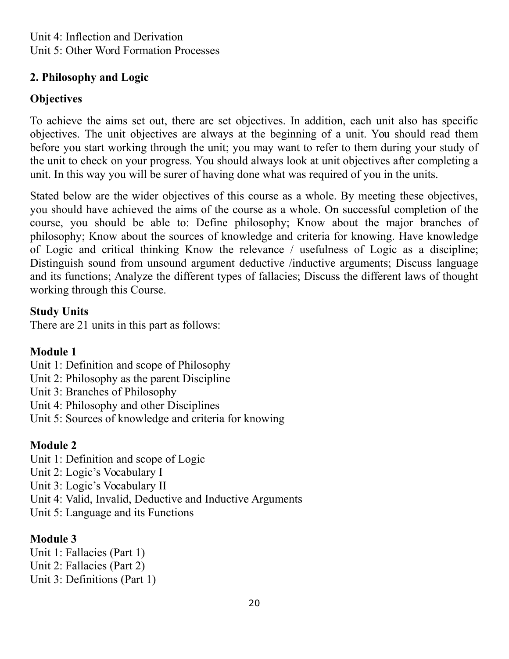### **2. Philosophy and Logic**

## **Objectives**

To achieve the aims set out, there are set objectives. In addition, each unit also has specific objectives. The unit objectives are always at the beginning of a unit. You should read them before you start working through the unit; you may want to refer to them during your study of the unit to check on your progress. You should always look at unit objectives after completing a unit. In this way you will be surer of having done what was required of you in the units.

Stated below are the wider objectives of this course as a whole. By meeting these objectives, you should have achieved the aims of the course as a whole. On successful completion of the course, you should be able to: Define philosophy; Know about the major branches of philosophy; Know about the sources of knowledge and criteria for knowing. Have knowledge of Logic and critical thinking Know the relevance / usefulness of Logic as a discipline; Distinguish sound from unsound argument deductive /inductive arguments; Discuss language and its functions; Analyze the different types of fallacies; Discuss the different laws of thought working through this Course.

## **Study Units**

There are 21 units in this part as follows:

# **Module 1**

- Unit 1: Definition and scope of Philosophy
- Unit 2: Philosophy as the parent Discipline
- Unit 3: Branches of Philosophy
- Unit 4: Philosophy and other Disciplines
- Unit 5: Sources of knowledge and criteria for knowing

# **Module 2**

- Unit 1: Definition and scope of Logic
- Unit 2: Logic's Vocabulary I
- Unit 3: Logic's Vocabulary II
- Unit 4: Valid, Invalid, Deductive and Inductive Arguments
- Unit 5: Language and its Functions

# **Module 3**

Unit 1: Fallacies (Part 1) Unit 2: Fallacies (Part 2) Unit 3: Definitions (Part 1)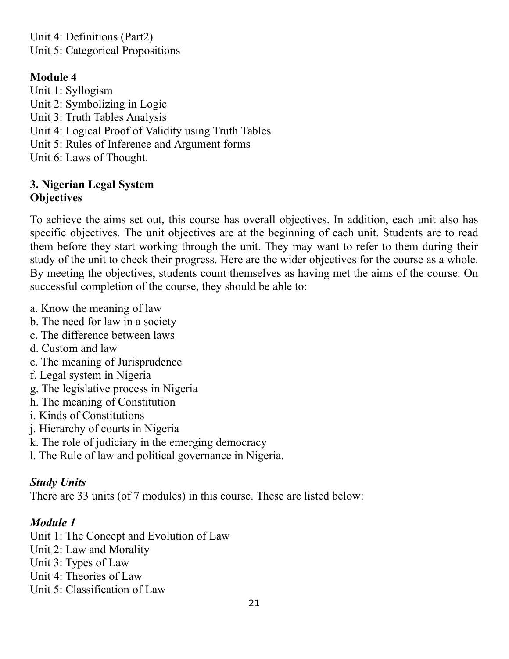Unit 4: Definitions (Part2) Unit 5: Categorical Propositions

### **Module 4**

Unit 1: Syllogism Unit 2: Symbolizing in Logic Unit 3: Truth Tables Analysis Unit 4: Logical Proof of Validity using Truth Tables Unit 5: Rules of Inference and Argument forms Unit 6: Laws of Thought.

### **3. Nigerian Legal System Objectives**

To achieve the aims set out, this course has overall objectives. In addition, each unit also has specific objectives. The unit objectives are at the beginning of each unit. Students are to read them before they start working through the unit. They may want to refer to them during their study of the unit to check their progress. Here are the wider objectives for the course as a whole. By meeting the objectives, students count themselves as having met the aims of the course. On successful completion of the course, they should be able to:

- a. Know the meaning of law
- b. The need for law in a society
- c. The difference between laws
- d. Custom and law
- e. The meaning of Jurisprudence
- f. Legal system in Nigeria
- g. The legislative process in Nigeria
- h. The meaning of Constitution
- i. Kinds of Constitutions
- j. Hierarchy of courts in Nigeria
- k. The role of judiciary in the emerging democracy
- l. The Rule of law and political governance in Nigeria.

### *Study Units*

There are 33 units (of 7 modules) in this course. These are listed below:

### *Module 1*

- Unit 1: The Concept and Evolution of Law
- Unit 2: Law and Morality
- Unit 3: Types of Law
- Unit 4: Theories of Law
- Unit 5: Classification of Law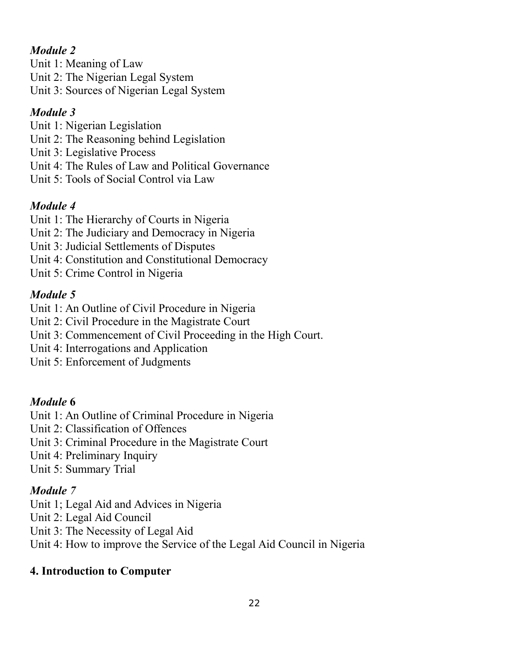## *Module 2*

Unit 1: Meaning of Law

Unit 2: The Nigerian Legal System

Unit 3: Sources of Nigerian Legal System

# *Module 3*

- Unit 1: Nigerian Legislation
- Unit 2: The Reasoning behind Legislation
- Unit 3: Legislative Process
- Unit 4: The Rules of Law and Political Governance
- Unit 5: Tools of Social Control via Law

# *Module 4*

- Unit 1: The Hierarchy of Courts in Nigeria
- Unit 2: The Judiciary and Democracy in Nigeria
- Unit 3: Judicial Settlements of Disputes
- Unit 4: Constitution and Constitutional Democracy
- Unit 5: Crime Control in Nigeria

# *Module 5*

- Unit 1: An Outline of Civil Procedure in Nigeria
- Unit 2: Civil Procedure in the Magistrate Court
- Unit 3: Commencement of Civil Proceeding in the High Court.
- Unit 4: Interrogations and Application
- Unit 5: Enforcement of Judgments

# *Module* **6**

- Unit 1: An Outline of Criminal Procedure in Nigeria
- Unit 2: Classification of Offences
- Unit 3: Criminal Procedure in the Magistrate Court
- Unit 4: Preliminary Inquiry
- Unit 5: Summary Trial

# *Module 7*

- Unit 1; Legal Aid and Advices in Nigeria
- Unit 2: Legal Aid Council
- Unit 3: The Necessity of Legal Aid
- Unit 4: How to improve the Service of the Legal Aid Council in Nigeria

# **4. Introduction to Computer**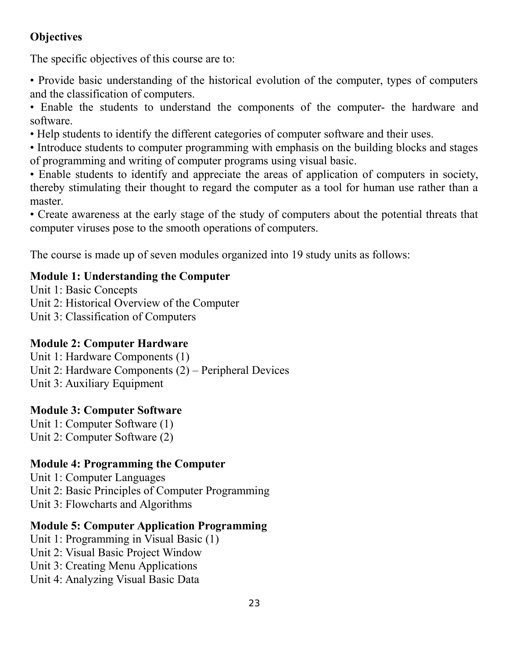## **Objectives**

The specific objectives of this course are to:

• Provide basic understanding of the historical evolution of the computer, types of computers and the classification of computers.

• Enable the students to understand the components of the computer- the hardware and software.

• Help students to identify the different categories of computer software and their uses.

• Introduce students to computer programming with emphasis on the building blocks and stages of programming and writing of computer programs using visual basic.

• Enable students to identify and appreciate the areas of application of computers in society, thereby stimulating their thought to regard the computer as a tool for human use rather than a master.

• Create awareness at the early stage of the study of computers about the potential threats that computer viruses pose to the smooth operations of computers.

The course is made up of seven modules organized into 19 study units as follows:

## **Module 1: Understanding the Computer**

Unit 1: Basic Concepts

Unit 2: Historical Overview of the Computer

Unit 3: Classification of Computers

## **Module 2: Computer Hardware**

Unit 1: Hardware Components (1)

Unit 2: Hardware Components (2) – Peripheral Devices

Unit 3: Auxiliary Equipment

## **Module 3: Computer Software**

Unit 1: Computer Software (1) Unit 2: Computer Software (2)

## **Module 4: Programming the Computer**

Unit 1: Computer Languages

Unit 2: Basic Principles of Computer Programming

Unit 3: Flowcharts and Algorithms

## **Module 5: Computer Application Programming**

Unit 1: Programming in Visual Basic (1)

- Unit 2: Visual Basic Project Window
- Unit 3: Creating Menu Applications

Unit 4: Analyzing Visual Basic Data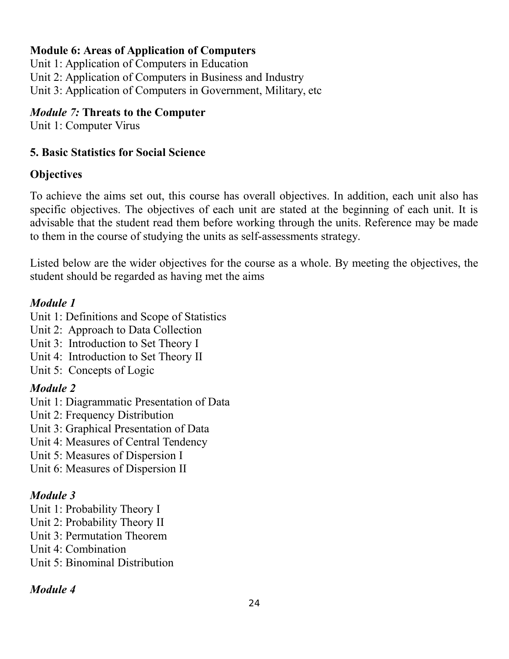### **Module 6: Areas of Application of Computers**

Unit 1: Application of Computers in Education Unit 2: Application of Computers in Business and Industry Unit 3: Application of Computers in Government, Military, etc

### *Module 7:* **Threats to the Computer**

Unit 1: Computer Virus

### **5. Basic Statistics for Social Science**

### **Objectives**

To achieve the aims set out, this course has overall objectives. In addition, each unit also has specific objectives. The objectives of each unit are stated at the beginning of each unit. It is advisable that the student read them before working through the units. Reference may be made to them in the course of studying the units as self-assessments strategy.

Listed below are the wider objectives for the course as a whole. By meeting the objectives, the student should be regarded as having met the aims

### *Module 1*

- Unit 1: Definitions and Scope of Statistics
- Unit 2: Approach to Data Collection
- Unit 3: Introduction to Set Theory I
- Unit 4: Introduction to Set Theory II
- Unit 5: Concepts of Logic

## *Module 2*

- Unit 1: Diagrammatic Presentation of Data
- Unit 2: Frequency Distribution
- Unit 3: Graphical Presentation of Data
- Unit 4: Measures of Central Tendency
- Unit 5: Measures of Dispersion I
- Unit 6: Measures of Dispersion II

## *Module 3*

- Unit 1: Probability Theory I
- Unit 2: Probability Theory II
- Unit 3: Permutation Theorem
- Unit 4: Combination
- Unit 5: Binominal Distribution

## *Module 4*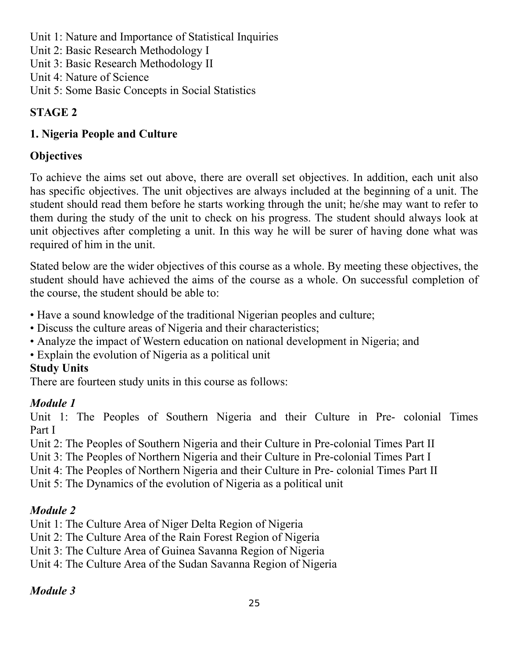- Unit 1: Nature and Importance of Statistical Inquiries
- Unit 2: Basic Research Methodology I
- Unit 3: Basic Research Methodology II
- Unit 4: Nature of Science
- Unit 5: Some Basic Concepts in Social Statistics

## **STAGE 2**

# **1. Nigeria People and Culture**

# **Objectives**

To achieve the aims set out above, there are overall set objectives. In addition, each unit also has specific objectives. The unit objectives are always included at the beginning of a unit. The student should read them before he starts working through the unit; he/she may want to refer to them during the study of the unit to check on his progress. The student should always look at unit objectives after completing a unit. In this way he will be surer of having done what was required of him in the unit.

Stated below are the wider objectives of this course as a whole. By meeting these objectives, the student should have achieved the aims of the course as a whole. On successful completion of the course, the student should be able to:

- Have a sound knowledge of the traditional Nigerian peoples and culture;
- Discuss the culture areas of Nigeria and their characteristics;
- Analyze the impact of Western education on national development in Nigeria; and
- Explain the evolution of Nigeria as a political unit

# **Study Units**

There are fourteen study units in this course as follows:

# *Module 1*

Unit 1: The Peoples of Southern Nigeria and their Culture in Pre- colonial Times Part I

Unit 2: The Peoples of Southern Nigeria and their Culture in Pre-colonial Times Part II

Unit 3: The Peoples of Northern Nigeria and their Culture in Pre-colonial Times Part I

Unit 4: The Peoples of Northern Nigeria and their Culture in Pre- colonial Times Part II

Unit 5: The Dynamics of the evolution of Nigeria as a political unit

# *Module 2*

Unit 1: The Culture Area of Niger Delta Region of Nigeria

- Unit 2: The Culture Area of the Rain Forest Region of Nigeria
- Unit 3: The Culture Area of Guinea Savanna Region of Nigeria

Unit 4: The Culture Area of the Sudan Savanna Region of Nigeria

# *Module 3*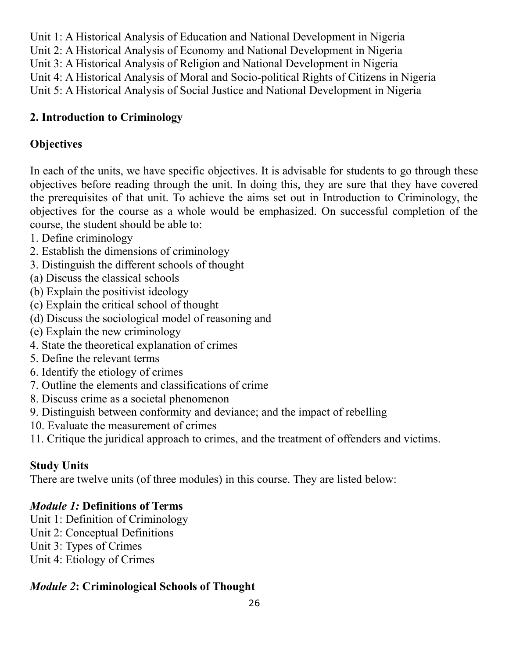Unit 1: A Historical Analysis of Education and National Development in Nigeria

Unit 2: A Historical Analysis of Economy and National Development in Nigeria

Unit 3: A Historical Analysis of Religion and National Development in Nigeria

Unit 4: A Historical Analysis of Moral and Socio-political Rights of Citizens in Nigeria

Unit 5: A Historical Analysis of Social Justice and National Development in Nigeria

## **2. Introduction to Criminology**

## **Objectives**

In each of the units, we have specific objectives. It is advisable for students to go through these objectives before reading through the unit. In doing this, they are sure that they have covered the prerequisites of that unit. To achieve the aims set out in Introduction to Criminology, the objectives for the course as a whole would be emphasized. On successful completion of the course, the student should be able to:

- 1. Define criminology
- 2. Establish the dimensions of criminology
- 3. Distinguish the different schools of thought
- (a) Discuss the classical schools
- (b) Explain the positivist ideology
- (c) Explain the critical school of thought
- (d) Discuss the sociological model of reasoning and
- (e) Explain the new criminology
- 4. State the theoretical explanation of crimes
- 5. Define the relevant terms
- 6. Identify the etiology of crimes
- 7. Outline the elements and classifications of crime
- 8. Discuss crime as a societal phenomenon
- 9. Distinguish between conformity and deviance; and the impact of rebelling
- 10. Evaluate the measurement of crimes
- 11. Critique the juridical approach to crimes, and the treatment of offenders and victims.

# **Study Units**

There are twelve units (of three modules) in this course. They are listed below:

## *Module 1:* **Definitions of Terms**

- Unit 1: Definition of Criminology
- Unit 2: Conceptual Definitions
- Unit 3: Types of Crimes
- Unit 4: Etiology of Crimes

## *Module 2***: Criminological Schools of Thought**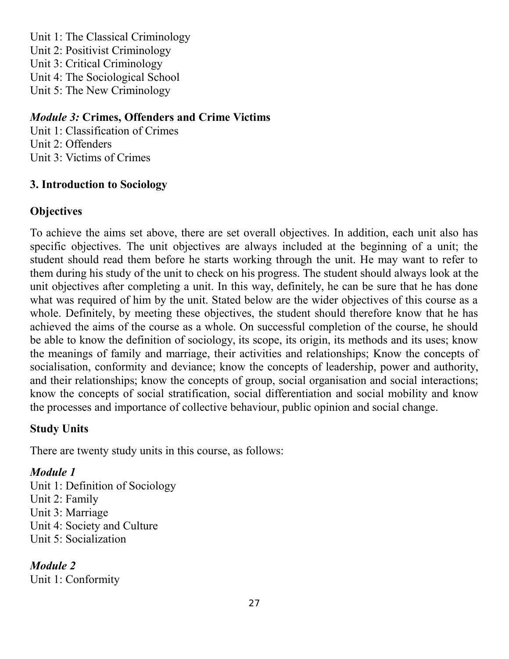Unit 1: The Classical Criminology Unit 2: Positivist Criminology Unit 3: Critical Criminology Unit 4: The Sociological School Unit 5: The New Criminology

### *Module 3:* **Crimes, Offenders and Crime Victims**

Unit 1: Classification of Crimes Unit 2: Offenders Unit 3: Victims of Crimes

### **3. Introduction to Sociology**

### **Objectives**

To achieve the aims set above, there are set overall objectives. In addition, each unit also has specific objectives. The unit objectives are always included at the beginning of a unit; the student should read them before he starts working through the unit. He may want to refer to them during his study of the unit to check on his progress. The student should always look at the unit objectives after completing a unit. In this way, definitely, he can be sure that he has done what was required of him by the unit. Stated below are the wider objectives of this course as a whole. Definitely, by meeting these objectives, the student should therefore know that he has achieved the aims of the course as a whole. On successful completion of the course, he should be able to know the definition of sociology, its scope, its origin, its methods and its uses; know the meanings of family and marriage, their activities and relationships; Know the concepts of socialisation, conformity and deviance; know the concepts of leadership, power and authority, and their relationships; know the concepts of group, social organisation and social interactions; know the concepts of social stratification, social differentiation and social mobility and know the processes and importance of collective behaviour, public opinion and social change.

### **Study Units**

There are twenty study units in this course, as follows:

### *Module 1*

Unit 1: Definition of Sociology

- Unit 2: Family
- Unit 3: Marriage

Unit 4: Society and Culture

Unit 5: Socialization

*Module 2* 

Unit 1: Conformity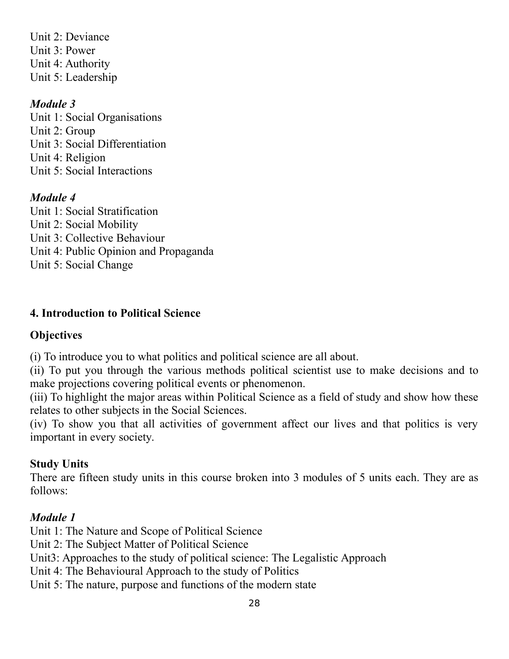Unit 2: Deviance Unit 3: Power Unit 4: Authority Unit 5: Leadership

### *Module 3*

Unit 1: Social Organisations Unit 2: Group Unit 3: Social Differentiation Unit 4: Religion Unit 5: Social Interactions

### *Module 4*

Unit 1: Social Stratification Unit 2: Social Mobility Unit 3: Collective Behaviour Unit 4: Public Opinion and Propaganda Unit 5: Social Change

### **4. Introduction to Political Science**

### **Objectives**

(i) To introduce you to what politics and political science are all about.

(ii) To put you through the various methods political scientist use to make decisions and to make projections covering political events or phenomenon.

(iii) To highlight the major areas within Political Science as a field of study and show how these relates to other subjects in the Social Sciences.

(iv) To show you that all activities of government affect our lives and that politics is very important in every society.

### **Study Units**

There are fifteen study units in this course broken into 3 modules of 5 units each. They are as follows:

### *Module 1*

Unit 1: The Nature and Scope of Political Science

- Unit 2: The Subject Matter of Political Science
- Unit3: Approaches to the study of political science: The Legalistic Approach
- Unit 4: The Behavioural Approach to the study of Politics
- Unit 5: The nature, purpose and functions of the modern state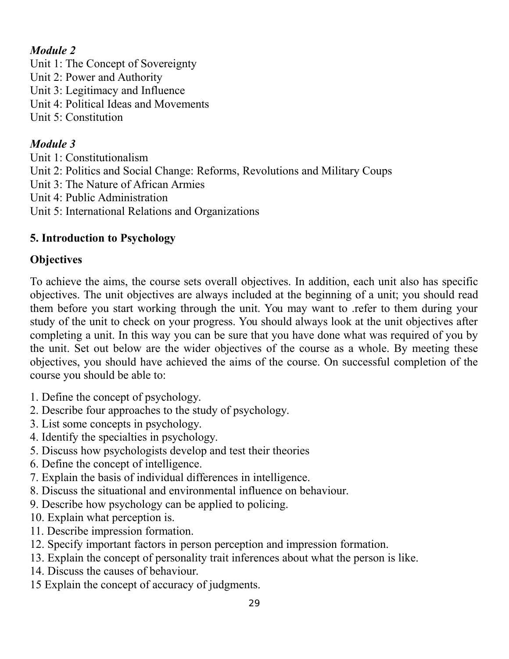## *Module 2*

- Unit 1: The Concept of Sovereignty
- Unit 2: Power and Authority
- Unit 3: Legitimacy and Influence
- Unit 4: Political Ideas and Movements
- Unit 5: Constitution

## *Module 3*

- Unit 1: Constitutionalism
- Unit 2: Politics and Social Change: Reforms, Revolutions and Military Coups
- Unit 3: The Nature of African Armies
- Unit 4: Public Administration
- Unit 5: International Relations and Organizations

# **5. Introduction to Psychology**

# **Objectives**

To achieve the aims, the course sets overall objectives. In addition, each unit also has specific objectives. The unit objectives are always included at the beginning of a unit; you should read them before you start working through the unit. You may want to .refer to them during your study of the unit to check on your progress. You should always look at the unit objectives after completing a unit. In this way you can be sure that you have done what was required of you by the unit. Set out below are the wider objectives of the course as a whole. By meeting these objectives, you should have achieved the aims of the course. On successful completion of the course you should be able to:

- 1. Define the concept of psychology.
- 2. Describe four approaches to the study of psychology.
- 3. List some concepts in psychology.
- 4. Identify the specialties in psychology.
- 5. Discuss how psychologists develop and test their theories
- 6. Define the concept of intelligence.
- 7. Explain the basis of individual differences in intelligence.
- 8. Discuss the situational and environmental influence on behaviour.
- 9. Describe how psychology can be applied to policing.
- 10. Explain what perception is.
- 11. Describe impression formation.
- 12. Specify important factors in person perception and impression formation.
- 13. Explain the concept of personality trait inferences about what the person is like.
- 14. Discuss the causes of behaviour.
- 15 Explain the concept of accuracy of judgments.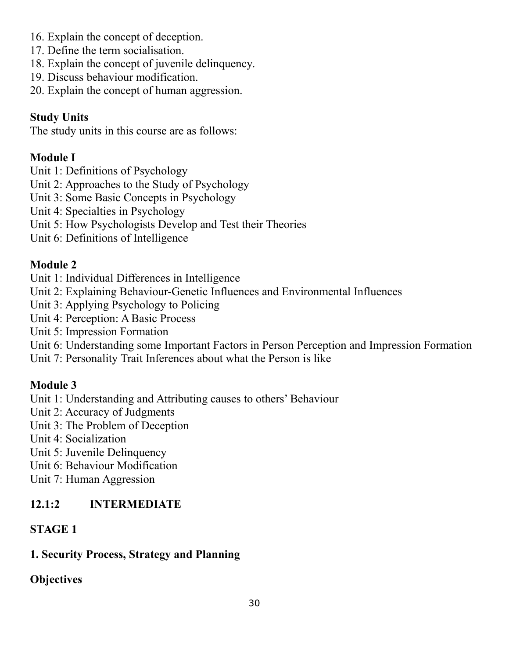- 16. Explain the concept of deception.
- 17. Define the term socialisation.
- 18. Explain the concept of juvenile delinquency.
- 19. Discuss behaviour modification.
- 20. Explain the concept of human aggression.

#### **Study Units**

The study units in this course are as follows:

#### **Module I**

Unit 1: Definitions of Psychology

- Unit 2: Approaches to the Study of Psychology
- Unit 3: Some Basic Concepts in Psychology
- Unit 4: Specialties in Psychology
- Unit 5: How Psychologists Develop and Test their Theories
- Unit 6: Definitions of Intelligence

### **Module 2**

- Unit 1: Individual Differences in Intelligence
- Unit 2: Explaining Behaviour-Genetic Influences and Environmental Influences
- Unit 3: Applying Psychology to Policing
- Unit 4: Perception: A Basic Process
- Unit 5: Impression Formation
- Unit 6: Understanding some Important Factors in Person Perception and Impression Formation
- Unit 7: Personality Trait Inferences about what the Person is like

### **Module 3**

Unit 1: Understanding and Attributing causes to others' Behaviour

- Unit 2: Accuracy of Judgments
- Unit 3: The Problem of Deception
- Unit 4: Socialization
- Unit 5: Juvenile Delinquency
- Unit 6: Behaviour Modification
- Unit 7: Human Aggression

### **12.1:2 INTERMEDIATE**

#### **STAGE 1**

#### **1. Security Process, Strategy and Planning**

### **Objectives**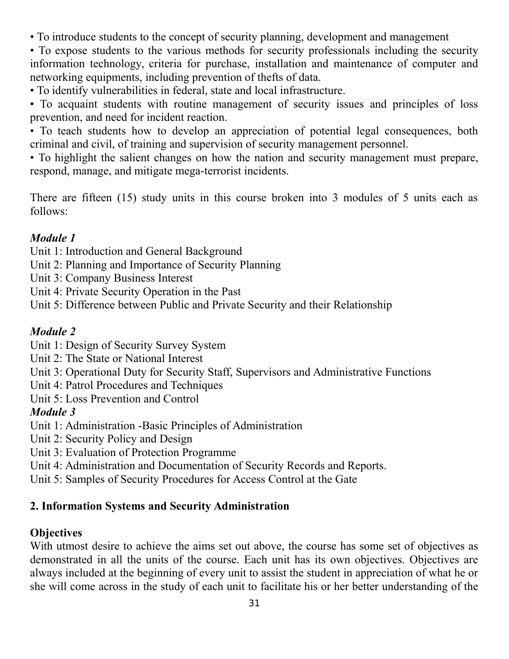• To introduce students to the concept of security planning, development and management

• To expose students to the various methods for security professionals including the security information technology, criteria for purchase, installation and maintenance of computer and networking equipments, including prevention of thefts of data.

• To identify vulnerabilities in federal, state and local infrastructure.

• To acquaint students with routine management of security issues and principles of loss prevention, and need for incident reaction.

• To teach students how to develop an appreciation of potential legal consequences, both criminal and civil, of training and supervision of security management personnel.

• To highlight the salient changes on how the nation and security management must prepare, respond, manage, and mitigate mega-terrorist incidents.

There are fifteen (15) study units in this course broken into 3 modules of 5 units each as follows:

### *Module 1*

Unit 1: Introduction and General Background

- Unit 2: Planning and Importance of Security Planning
- Unit 3: Company Business Interest
- Unit 4: Private Security Operation in the Past
- Unit 5: Difference between Public and Private Security and their Relationship

## *Module 2*

- Unit 1: Design of Security Survey System
- Unit 2: The State or National Interest
- Unit 3: Operational Duty for Security Staff, Supervisors and Administrative Functions
- Unit 4: Patrol Procedures and Techniques
- Unit 5: Loss Prevention and Control

### *Module 3*

- Unit 1: Administration -Basic Principles of Administration
- Unit 2: Security Policy and Design
- Unit 3: Evaluation of Protection Programme
- Unit 4: Administration and Documentation of Security Records and Reports.
- Unit 5: Samples of Security Procedures for Access Control at the Gate

### **2. Information Systems and Security Administration**

### **Objectives**

With utmost desire to achieve the aims set out above, the course has some set of objectives as demonstrated in all the units of the course. Each unit has its own objectives. Objectives are always included at the beginning of every unit to assist the student in appreciation of what he or she will come across in the study of each unit to facilitate his or her better understanding of the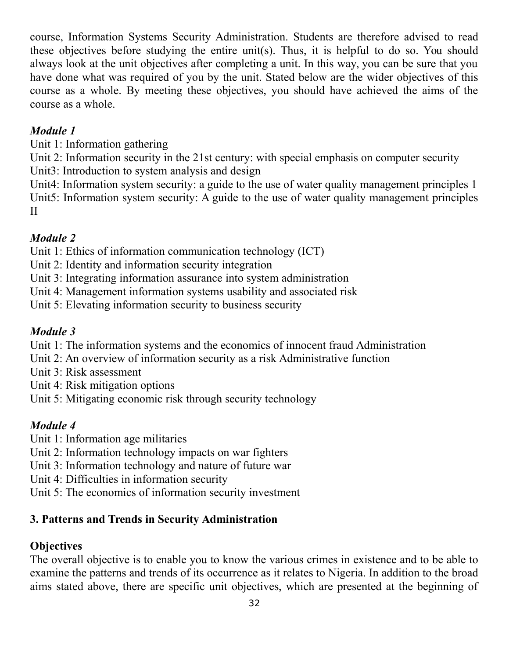course, Information Systems Security Administration. Students are therefore advised to read these objectives before studying the entire unit(s). Thus, it is helpful to do so. You should always look at the unit objectives after completing a unit. In this way, you can be sure that you have done what was required of you by the unit. Stated below are the wider objectives of this course as a whole. By meeting these objectives, you should have achieved the aims of the course as a whole.

### *Module 1*

Unit 1: Information gathering

Unit 2: Information security in the 21st century: with special emphasis on computer security

Unit3: Introduction to system analysis and design

Unit4: Information system security: a guide to the use of water quality management principles 1 Unit5: Information system security: A guide to the use of water quality management principles II

## *Module 2*

Unit 1: Ethics of information communication technology (ICT)

- Unit 2: Identity and information security integration
- Unit 3: Integrating information assurance into system administration
- Unit 4: Management information systems usability and associated risk
- Unit 5: Elevating information security to business security

### *Module 3*

Unit 1: The information systems and the economics of innocent fraud Administration

- Unit 2: An overview of information security as a risk Administrative function
- Unit 3: Risk assessment

Unit 4: Risk mitigation options

Unit 5: Mitigating economic risk through security technology

## *Module 4*

- Unit 1: Information age militaries
- Unit 2: Information technology impacts on war fighters
- Unit 3: Information technology and nature of future war
- Unit 4: Difficulties in information security
- Unit 5: The economics of information security investment

### **3. Patterns and Trends in Security Administration**

### **Objectives**

The overall objective is to enable you to know the various crimes in existence and to be able to examine the patterns and trends of its occurrence as it relates to Nigeria. In addition to the broad aims stated above, there are specific unit objectives, which are presented at the beginning of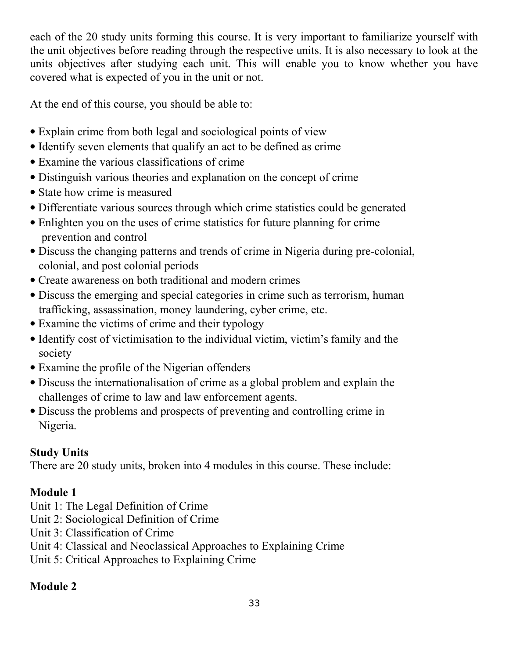each of the 20 study units forming this course. It is very important to familiarize yourself with the unit objectives before reading through the respective units. It is also necessary to look at the units objectives after studying each unit. This will enable you to know whether you have covered what is expected of you in the unit or not.

At the end of this course, you should be able to:

- Explain crime from both legal and sociological points of view
- Identify seven elements that qualify an act to be defined as crime
- Examine the various classifications of crime
- Distinguish various theories and explanation on the concept of crime
- State how crime is measured
- Differentiate various sources through which crime statistics could be generated
- Enlighten you on the uses of crime statistics for future planning for crime prevention and control
- Discuss the changing patterns and trends of crime in Nigeria during pre-colonial, colonial, and post colonial periods
- Create awareness on both traditional and modern crimes
- Discuss the emerging and special categories in crime such as terrorism, human trafficking, assassination, money laundering, cyber crime, etc.
- Examine the victims of crime and their typology
- Identify cost of victimisation to the individual victim, victim's family and the society
- Examine the profile of the Nigerian offenders
- Discuss the internationalisation of crime as a global problem and explain the challenges of crime to law and law enforcement agents.
- Discuss the problems and prospects of preventing and controlling crime in Nigeria.

## **Study Units**

There are 20 study units, broken into 4 modules in this course. These include:

## **Module 1**

- Unit 1: The Legal Definition of Crime
- Unit 2: Sociological Definition of Crime
- Unit 3: Classification of Crime
- Unit 4: Classical and Neoclassical Approaches to Explaining Crime
- Unit 5: Critical Approaches to Explaining Crime

## **Module 2**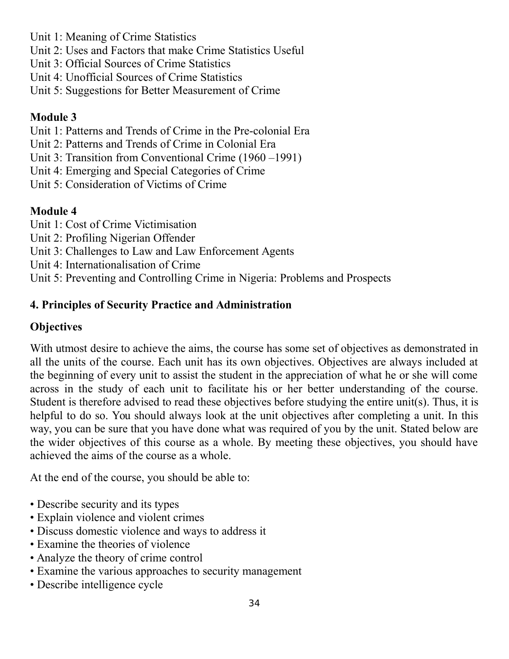- Unit 1: Meaning of Crime Statistics
- Unit 2: Uses and Factors that make Crime Statistics Useful
- Unit 3: Official Sources of Crime Statistics
- Unit 4: Unofficial Sources of Crime Statistics
- Unit 5: Suggestions for Better Measurement of Crime

## **Module 3**

- Unit 1: Patterns and Trends of Crime in the Pre-colonial Era
- Unit 2: Patterns and Trends of Crime in Colonial Era
- Unit 3: Transition from Conventional Crime (1960 –1991)
- Unit 4: Emerging and Special Categories of Crime
- Unit 5: Consideration of Victims of Crime

## **Module 4**

- Unit 1: Cost of Crime Victimisation
- Unit 2: Profiling Nigerian Offender
- Unit 3: Challenges to Law and Law Enforcement Agents
- Unit 4: Internationalisation of Crime
- Unit 5: Preventing and Controlling Crime in Nigeria: Problems and Prospects

## **4. Principles of Security Practice and Administration**

## **Objectives**

With utmost desire to achieve the aims, the course has some set of objectives as demonstrated in all the units of the course. Each unit has its own objectives. Objectives are always included at the beginning of every unit to assist the student in the appreciation of what he or she will come across in the study of each unit to facilitate his or her better understanding of the course. Student is therefore advised to read these objectives before studying the entire unit(s). Thus, it is helpful to do so. You should always look at the unit objectives after completing a unit. In this way, you can be sure that you have done what was required of you by the unit. Stated below are the wider objectives of this course as a whole. By meeting these objectives, you should have achieved the aims of the course as a whole.

At the end of the course, you should be able to:

- Describe security and its types
- Explain violence and violent crimes
- Discuss domestic violence and ways to address it
- Examine the theories of violence
- Analyze the theory of crime control
- Examine the various approaches to security management
- Describe intelligence cycle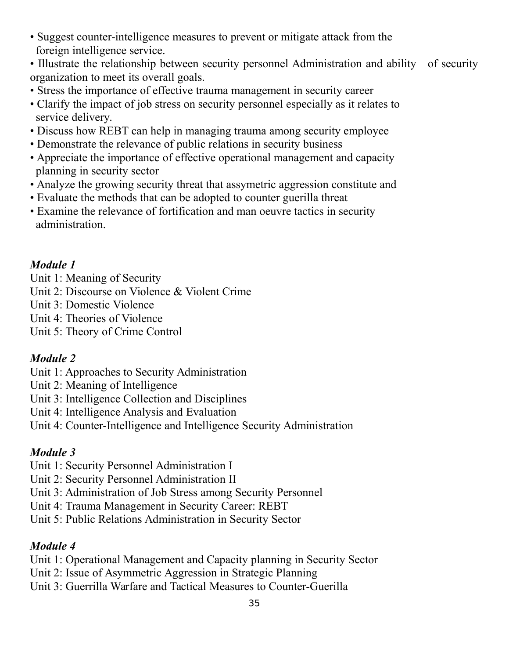- Suggest counter-intelligence measures to prevent or mitigate attack from the foreign intelligence service.
- Illustrate the relationship between security personnel Administration and ability of security organization to meet its overall goals.
- Stress the importance of effective trauma management in security career
- Clarify the impact of job stress on security personnel especially as it relates to service delivery.
- Discuss how REBT can help in managing trauma among security employee
- Demonstrate the relevance of public relations in security business
- Appreciate the importance of effective operational management and capacity planning in security sector
- Analyze the growing security threat that assymetric aggression constitute and
- Evaluate the methods that can be adopted to counter guerilla threat
- Examine the relevance of fortification and man oeuvre tactics in security administration.

## *Module 1*

- Unit 1: Meaning of Security
- Unit 2: Discourse on Violence & Violent Crime
- Unit 3: Domestic Violence
- Unit 4: Theories of Violence
- Unit 5: Theory of Crime Control

## *Module 2*

- Unit 1: Approaches to Security Administration
- Unit 2: Meaning of Intelligence
- Unit 3: Intelligence Collection and Disciplines
- Unit 4: Intelligence Analysis and Evaluation
- Unit 4: Counter-Intelligence and Intelligence Security Administration

# *Module 3*

- Unit 1: Security Personnel Administration I
- Unit 2: Security Personnel Administration II
- Unit 3: Administration of Job Stress among Security Personnel
- Unit 4: Trauma Management in Security Career: REBT
- Unit 5: Public Relations Administration in Security Sector

# *Module 4*

- Unit 1: Operational Management and Capacity planning in Security Sector
- Unit 2: Issue of Asymmetric Aggression in Strategic Planning
- Unit 3: Guerrilla Warfare and Tactical Measures to Counter-Guerilla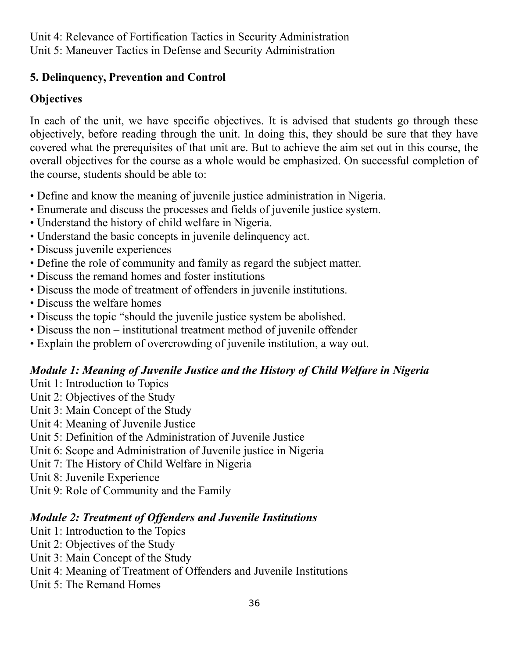Unit 4: Relevance of Fortification Tactics in Security Administration Unit 5: Maneuver Tactics in Defense and Security Administration

### **5. Delinquency, Prevention and Control**

## **Objectives**

In each of the unit, we have specific objectives. It is advised that students go through these objectively, before reading through the unit. In doing this, they should be sure that they have covered what the prerequisites of that unit are. But to achieve the aim set out in this course, the overall objectives for the course as a whole would be emphasized. On successful completion of the course, students should be able to:

- Define and know the meaning of juvenile justice administration in Nigeria.
- Enumerate and discuss the processes and fields of juvenile justice system.
- Understand the history of child welfare in Nigeria.
- Understand the basic concepts in juvenile delinquency act.
- Discuss juvenile experiences
- Define the role of community and family as regard the subject matter.
- Discuss the remand homes and foster institutions
- Discuss the mode of treatment of offenders in juvenile institutions.
- Discuss the welfare homes
- Discuss the topic "should the juvenile justice system be abolished.
- Discuss the non institutional treatment method of juvenile offender
- Explain the problem of overcrowding of juvenile institution, a way out.

# *Module 1: Meaning of Juvenile Justice and the History of Child Welfare in Nigeria*

- Unit 1: Introduction to Topics
- Unit 2: Objectives of the Study
- Unit 3: Main Concept of the Study
- Unit 4: Meaning of Juvenile Justice
- Unit 5: Definition of the Administration of Juvenile Justice
- Unit 6: Scope and Administration of Juvenile justice in Nigeria
- Unit 7: The History of Child Welfare in Nigeria
- Unit 8: Juvenile Experience
- Unit 9: Role of Community and the Family

# *Module 2: Treatment of Offenders and Juvenile Institutions*

- Unit 1: Introduction to the Topics
- Unit 2: Objectives of the Study
- Unit 3: Main Concept of the Study
- Unit 4: Meaning of Treatment of Offenders and Juvenile Institutions
- Unit 5: The Remand Homes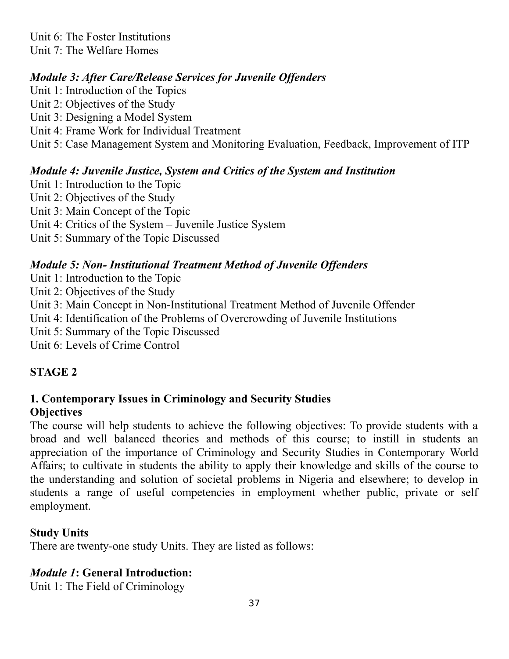Unit 6: The Foster Institutions Unit 7: The Welfare Homes

### *Module 3: After Care/Release Services for Juvenile Offenders*

Unit 1: Introduction of the Topics Unit 2: Objectives of the Study Unit 3: Designing a Model System Unit 4: Frame Work for Individual Treatment Unit 5: Case Management System and Monitoring Evaluation, Feedback, Improvement of ITP

### *Module 4: Juvenile Justice, System and Critics of the System and Institution*

Unit 1: Introduction to the Topic Unit 2: Objectives of the Study Unit 3: Main Concept of the Topic Unit 4: Critics of the System – Juvenile Justice System Unit 5: Summary of the Topic Discussed

### *Module 5: Non- Institutional Treatment Method of Juvenile Offenders*

Unit 1: Introduction to the Topic

Unit 2: Objectives of the Study

Unit 3: Main Concept in Non-Institutional Treatment Method of Juvenile Offender

Unit 4: Identification of the Problems of Overcrowding of Juvenile Institutions

Unit 5: Summary of the Topic Discussed

Unit 6: Levels of Crime Control

## **STAGE 2**

#### **1. Contemporary Issues in Criminology and Security Studies Objectives**

The course will help students to achieve the following objectives: To provide students with a broad and well balanced theories and methods of this course; to instill in students an appreciation of the importance of Criminology and Security Studies in Contemporary World Affairs; to cultivate in students the ability to apply their knowledge and skills of the course to the understanding and solution of societal problems in Nigeria and elsewhere; to develop in students a range of useful competencies in employment whether public, private or self employment.

### **Study Units**

There are twenty-one study Units. They are listed as follows:

### *Module 1***: General Introduction:**

Unit 1: The Field of Criminology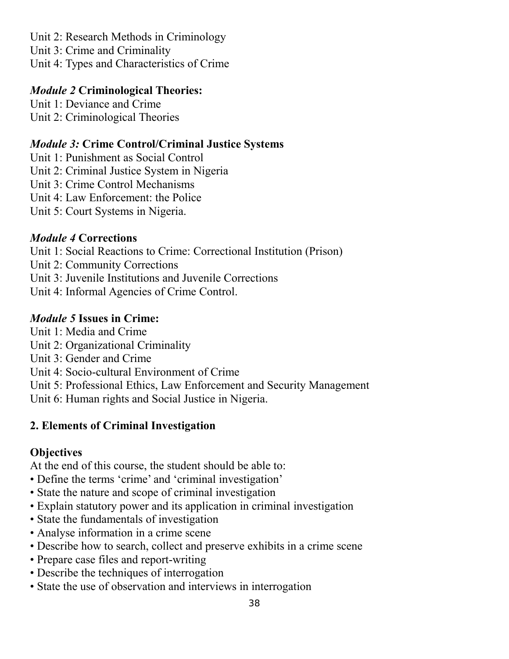Unit 2: Research Methods in Criminology

Unit 3: Crime and Criminality

Unit 4: Types and Characteristics of Crime

### *Module 2* **Criminological Theories:**

Unit 1: Deviance and Crime Unit 2: Criminological Theories

### *Module 3:* **Crime Control/Criminal Justice Systems**

Unit 1: Punishment as Social Control

Unit 2: Criminal Justice System in Nigeria

Unit 3: Crime Control Mechanisms

Unit 4: Law Enforcement: the Police

Unit 5: Court Systems in Nigeria.

### *Module 4* **Corrections**

Unit 1: Social Reactions to Crime: Correctional Institution (Prison)

- Unit 2: Community Corrections
- Unit 3: Juvenile Institutions and Juvenile Corrections

Unit 4: Informal Agencies of Crime Control.

### *Module 5* **Issues in Crime:**

- Unit 1: Media and Crime
- Unit 2: Organizational Criminality
- Unit 3: Gender and Crime
- Unit 4: Socio-cultural Environment of Crime

Unit 5: Professional Ethics, Law Enforcement and Security Management

Unit 6: Human rights and Social Justice in Nigeria.

### **2. Elements of Criminal Investigation**

### **Objectives**

At the end of this course, the student should be able to:

- Define the terms 'crime' and 'criminal investigation'
- State the nature and scope of criminal investigation
- Explain statutory power and its application in criminal investigation
- State the fundamentals of investigation
- Analyse information in a crime scene
- Describe how to search, collect and preserve exhibits in a crime scene
- Prepare case files and report-writing
- Describe the techniques of interrogation
- State the use of observation and interviews in interrogation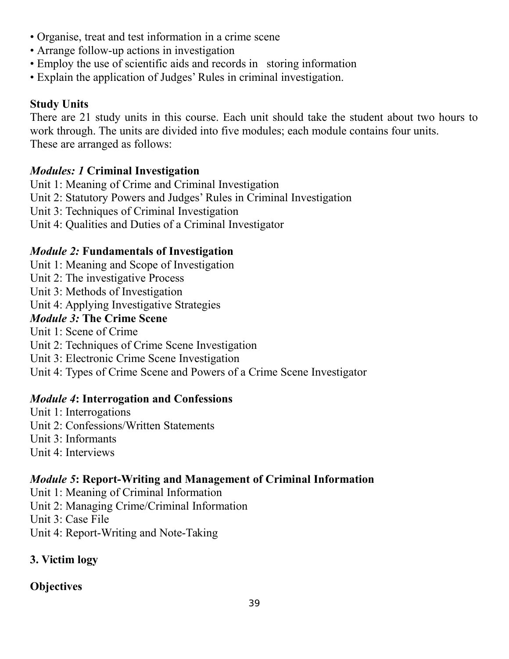- Organise, treat and test information in a crime scene
- Arrange follow-up actions in investigation
- Employ the use of scientific aids and records in storing information
- Explain the application of Judges' Rules in criminal investigation.

## **Study Units**

There are 21 study units in this course. Each unit should take the student about two hours to work through. The units are divided into five modules; each module contains four units. These are arranged as follows:

## *Modules: 1* **Criminal Investigation**

Unit 1: Meaning of Crime and Criminal Investigation

- Unit 2: Statutory Powers and Judges' Rules in Criminal Investigation
- Unit 3: Techniques of Criminal Investigation
- Unit 4: Qualities and Duties of a Criminal Investigator

## *Module 2:* **Fundamentals of Investigation**

Unit 1: Meaning and Scope of Investigation

- Unit 2: The investigative Process
- Unit 3: Methods of Investigation

Unit 4: Applying Investigative Strategies

### *Module 3:* **The Crime Scene**

- Unit 1: Scene of Crime
- Unit 2: Techniques of Crime Scene Investigation
- Unit 3: Electronic Crime Scene Investigation

Unit 4: Types of Crime Scene and Powers of a Crime Scene Investigator

### *Module 4***: Interrogation and Confessions**

- Unit 1: Interrogations
- Unit 2: Confessions/Written Statements
- Unit 3: Informants
- Unit 4: Interviews

## *Module 5***: Report-Writing and Management of Criminal Information**

- Unit 1: Meaning of Criminal Information
- Unit 2: Managing Crime/Criminal Information
- Unit 3: Case File
- Unit 4: Report-Writing and Note-Taking

# **3. Victim logy**

## **Objectives**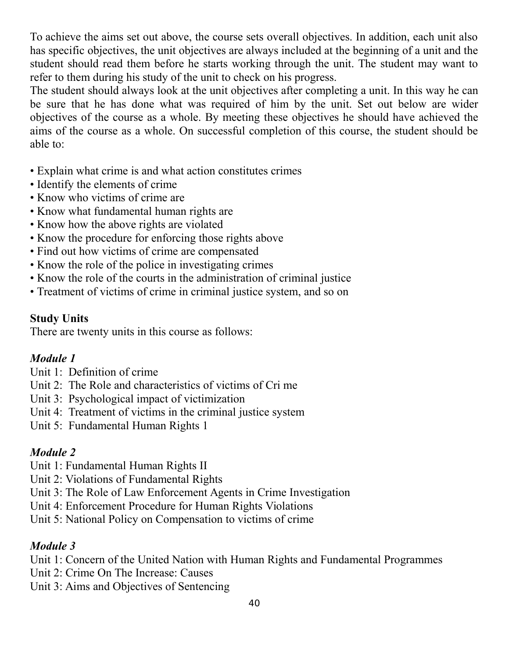To achieve the aims set out above, the course sets overall objectives. In addition, each unit also has specific objectives, the unit objectives are always included at the beginning of a unit and the student should read them before he starts working through the unit. The student may want to refer to them during his study of the unit to check on his progress.

The student should always look at the unit objectives after completing a unit. In this way he can be sure that he has done what was required of him by the unit. Set out below are wider objectives of the course as a whole. By meeting these objectives he should have achieved the aims of the course as a whole. On successful completion of this course, the student should be able to:

- Explain what crime is and what action constitutes crimes
- Identify the elements of crime
- Know who victims of crime are
- Know what fundamental human rights are
- Know how the above rights are violated
- Know the procedure for enforcing those rights above
- Find out how victims of crime are compensated
- Know the role of the police in investigating crimes
- Know the role of the courts in the administration of criminal justice
- Treatment of victims of crime in criminal justice system, and so on

### **Study Units**

There are twenty units in this course as follows:

### *Module 1*

- Unit 1: Definition of crime
- Unit 2: The Role and characteristics of victims of Cri me
- Unit 3: Psychological impact of victimization
- Unit 4: Treatment of victims in the criminal justice system
- Unit 5: Fundamental Human Rights 1

## *Module 2*

- Unit 1: Fundamental Human Rights II
- Unit 2: Violations of Fundamental Rights
- Unit 3: The Role of Law Enforcement Agents in Crime Investigation
- Unit 4: Enforcement Procedure for Human Rights Violations
- Unit 5: National Policy on Compensation to victims of crime

## *Module 3*

- Unit 1: Concern of the United Nation with Human Rights and Fundamental Programmes
- Unit 2: Crime On The Increase: Causes
- Unit 3: Aims and Objectives of Sentencing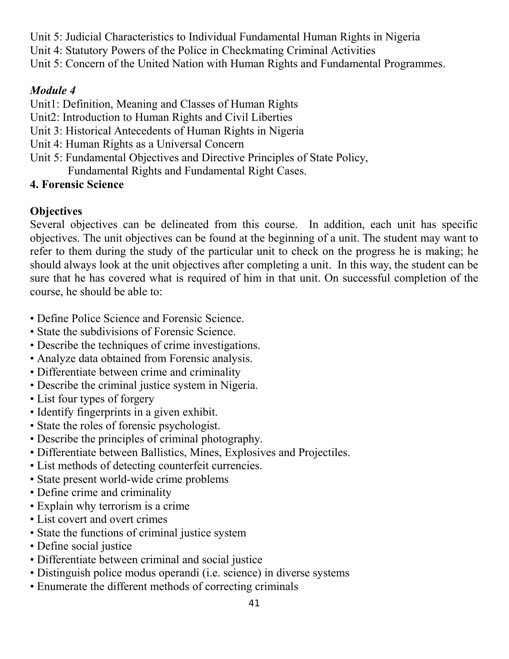- Unit 5: Judicial Characteristics to Individual Fundamental Human Rights in Nigeria
- Unit 4: Statutory Powers of the Police in Checkmating Criminal Activities
- Unit 5: Concern of the United Nation with Human Rights and Fundamental Programmes.

## *Module 4*

- Unit1: Definition, Meaning and Classes of Human Rights
- Unit2: Introduction to Human Rights and Civil Liberties
- Unit 3: Historical Antecedents of Human Rights in Nigeria
- Unit 4: Human Rights as a Universal Concern
- Unit 5: Fundamental Objectives and Directive Principles of State Policy,
	- Fundamental Rights and Fundamental Right Cases.

## **4. Forensic Science**

# **Objectives**

Several objectives can be delineated from this course. In addition, each unit has specific objectives. The unit objectives can be found at the beginning of a unit. The student may want to refer to them during the study of the particular unit to check on the progress he is making; he should always look at the unit objectives after completing a unit. In this way, the student can be sure that he has covered what is required of him in that unit. On successful completion of the course, he should be able to:

- Define Police Science and Forensic Science.
- State the subdivisions of Forensic Science.
- Describe the techniques of crime investigations.
- Analyze data obtained from Forensic analysis.
- Differentiate between crime and criminality
- Describe the criminal justice system in Nigeria.
- List four types of forgery
- Identify fingerprints in a given exhibit.
- State the roles of forensic psychologist.
- Describe the principles of criminal photography.
- Differentiate between Ballistics, Mines, Explosives and Projectiles.
- List methods of detecting counterfeit currencies.
- State present world-wide crime problems
- Define crime and criminality
- Explain why terrorism is a crime
- List covert and overt crimes
- State the functions of criminal justice system
- Define social justice
- Differentiate between criminal and social justice
- Distinguish police modus operandi (i.e. science) in diverse systems
- Enumerate the different methods of correcting criminals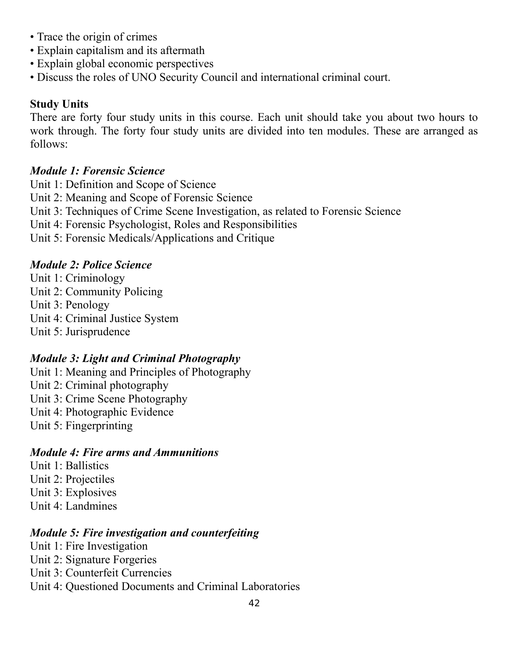- Trace the origin of crimes
- Explain capitalism and its aftermath
- Explain global economic perspectives
- Discuss the roles of UNO Security Council and international criminal court.

### **Study Units**

There are forty four study units in this course. Each unit should take you about two hours to work through. The forty four study units are divided into ten modules. These are arranged as follows:

### *Module 1: Forensic Science*

Unit 1: Definition and Scope of Science

- Unit 2: Meaning and Scope of Forensic Science
- Unit 3: Techniques of Crime Scene Investigation, as related to Forensic Science
- Unit 4: Forensic Psychologist, Roles and Responsibilities
- Unit 5: Forensic Medicals/Applications and Critique

### *Module 2: Police Science*

- Unit 1: Criminology
- Unit 2: Community Policing
- Unit 3: Penology
- Unit 4: Criminal Justice System
- Unit 5: Jurisprudence

### *Module 3: Light and Criminal Photography*

- Unit 1: Meaning and Principles of Photography
- Unit 2: Criminal photography
- Unit 3: Crime Scene Photography
- Unit 4: Photographic Evidence
- Unit 5: Fingerprinting

#### *Module 4: Fire arms and Ammunitions*

- Unit 1: Ballistics
- Unit 2: Projectiles
- Unit 3: Explosives
- Unit 4: Landmines

### *Module 5: Fire investigation and counterfeiting*

- Unit 1: Fire Investigation
- Unit 2: Signature Forgeries
- Unit 3: Counterfeit Currencies
- Unit 4: Questioned Documents and Criminal Laboratories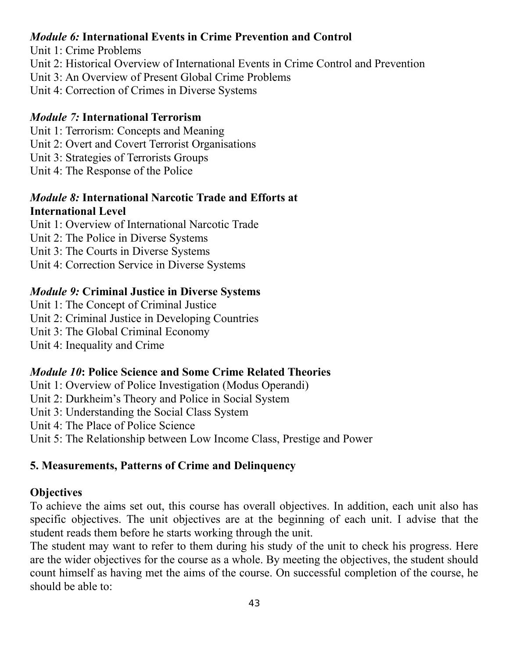### *Module 6:* **International Events in Crime Prevention and Control**

- Unit 1: Crime Problems
- Unit 2: Historical Overview of International Events in Crime Control and Prevention
- Unit 3: An Overview of Present Global Crime Problems
- Unit 4: Correction of Crimes in Diverse Systems

### *Module 7:* **International Terrorism**

- Unit 1: Terrorism: Concepts and Meaning
- Unit 2: Overt and Covert Terrorist Organisations
- Unit 3: Strategies of Terrorists Groups
- Unit 4: The Response of the Police

### *Module 8:* **International Narcotic Trade and Efforts at International Level**

- Unit 1: Overview of International Narcotic Trade
- Unit 2: The Police in Diverse Systems
- Unit 3: The Courts in Diverse Systems
- Unit 4: Correction Service in Diverse Systems

### *Module 9:* **Criminal Justice in Diverse Systems**

- Unit 1: The Concept of Criminal Justice
- Unit 2: Criminal Justice in Developing Countries
- Unit 3: The Global Criminal Economy
- Unit 4: Inequality and Crime

### *Module 10***: Police Science and Some Crime Related Theories**

Unit 1: Overview of Police Investigation (Modus Operandi)

- Unit 2: Durkheim's Theory and Police in Social System
- Unit 3: Understanding the Social Class System
- Unit 4: The Place of Police Science
- Unit 5: The Relationship between Low Income Class, Prestige and Power

### **5. Measurements, Patterns of Crime and Delinquency**

### **Objectives**

To achieve the aims set out, this course has overall objectives. In addition, each unit also has specific objectives. The unit objectives are at the beginning of each unit. I advise that the student reads them before he starts working through the unit.

The student may want to refer to them during his study of the unit to check his progress. Here are the wider objectives for the course as a whole. By meeting the objectives, the student should count himself as having met the aims of the course. On successful completion of the course, he should be able to: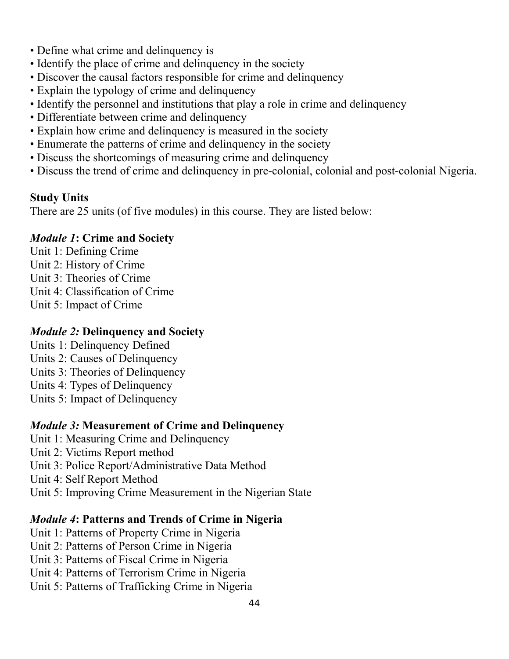- Define what crime and delinquency is
- Identify the place of crime and delinquency in the society
- Discover the causal factors responsible for crime and delinquency
- Explain the typology of crime and delinquency
- Identify the personnel and institutions that play a role in crime and delinquency
- Differentiate between crime and delinquency
- Explain how crime and delinquency is measured in the society
- Enumerate the patterns of crime and delinquency in the society
- Discuss the shortcomings of measuring crime and delinquency
- Discuss the trend of crime and delinquency in pre-colonial, colonial and post-colonial Nigeria.

### **Study Units**

There are 25 units (of five modules) in this course. They are listed below:

### *Module 1***: Crime and Society**

- Unit 1: Defining Crime
- Unit 2: History of Crime
- Unit 3: Theories of Crime
- Unit 4: Classification of Crime
- Unit 5: Impact of Crime

### *Module 2:* **Delinquency and Society**

- Units 1: Delinquency Defined
- Units 2: Causes of Delinquency
- Units 3: Theories of Delinquency
- Units 4: Types of Delinquency
- Units 5: Impact of Delinquency

### *Module 3:* **Measurement of Crime and Delinquency**

- Unit 1: Measuring Crime and Delinquency
- Unit 2: Victims Report method
- Unit 3: Police Report/Administrative Data Method
- Unit 4: Self Report Method
- Unit 5: Improving Crime Measurement in the Nigerian State

### *Module 4***: Patterns and Trends of Crime in Nigeria**

- Unit 1: Patterns of Property Crime in Nigeria
- Unit 2: Patterns of Person Crime in Nigeria
- Unit 3: Patterns of Fiscal Crime in Nigeria
- Unit 4: Patterns of Terrorism Crime in Nigeria
- Unit 5: Patterns of Trafficking Crime in Nigeria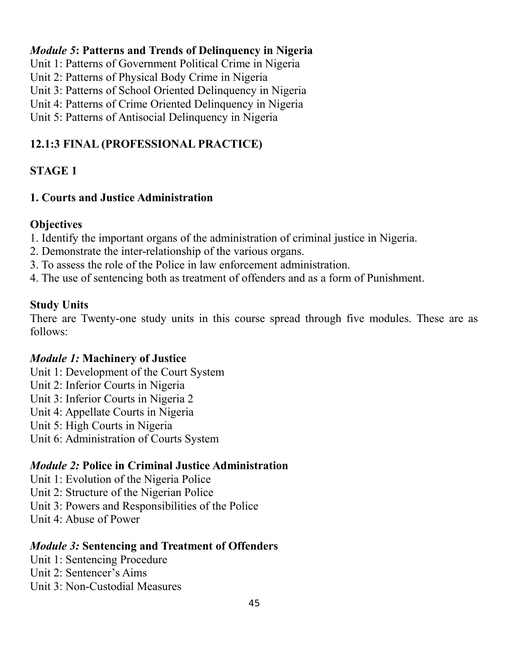### *Module 5***: Patterns and Trends of Delinquency in Nigeria**

Unit 1: Patterns of Government Political Crime in Nigeria

Unit 2: Patterns of Physical Body Crime in Nigeria

Unit 3: Patterns of School Oriented Delinquency in Nigeria

Unit 4: Patterns of Crime Oriented Delinquency in Nigeria

Unit 5: Patterns of Antisocial Delinquency in Nigeria

## **12.1:3 FINAL (PROFESSIONAL PRACTICE)**

## **STAGE 1**

### **1. Courts and Justice Administration**

### **Objectives**

- 1. Identify the important organs of the administration of criminal justice in Nigeria.
- 2. Demonstrate the inter-relationship of the various organs.
- 3. To assess the role of the Police in law enforcement administration.
- 4. The use of sentencing both as treatment of offenders and as a form of Punishment.

### **Study Units**

There are Twenty-one study units in this course spread through five modules. These are as follows:

### *Module 1:* **Machinery of Justice**

- Unit 1: Development of the Court System
- Unit 2: Inferior Courts in Nigeria
- Unit 3: Inferior Courts in Nigeria 2
- Unit 4: Appellate Courts in Nigeria
- Unit 5: High Courts in Nigeria
- Unit 6: Administration of Courts System

### *Module 2:* **Police in Criminal Justice Administration**

- Unit 1: Evolution of the Nigeria Police
- Unit 2: Structure of the Nigerian Police
- Unit 3: Powers and Responsibilities of the Police
- Unit 4: Abuse of Power

### *Module 3:* **Sentencing and Treatment of Offenders**

- Unit 1: Sentencing Procedure
- Unit 2: Sentencer's Aims
- Unit 3: Non-Custodial Measures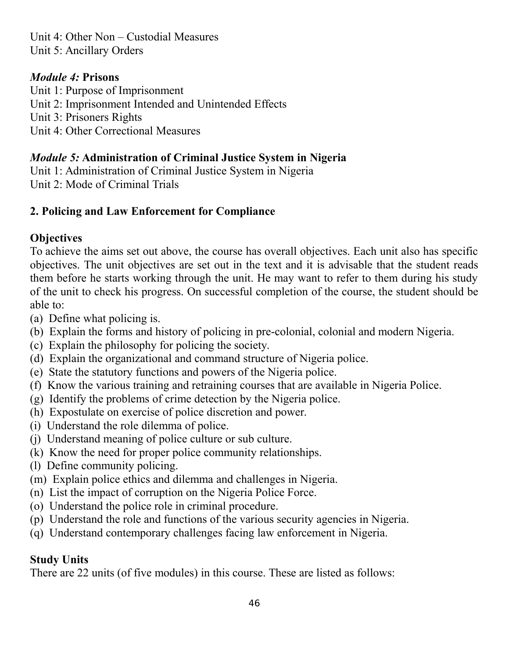Unit 4: Other Non – Custodial Measures Unit 5: Ancillary Orders

### *Module 4:* **Prisons**

Unit 1: Purpose of Imprisonment Unit 2: Imprisonment Intended and Unintended Effects Unit 3: Prisoners Rights Unit 4: Other Correctional Measures

### *Module 5:* **Administration of Criminal Justice System in Nigeria**

Unit 1: Administration of Criminal Justice System in Nigeria Unit 2: Mode of Criminal Trials

### **2. Policing and Law Enforcement for Compliance**

## **Objectives**

To achieve the aims set out above, the course has overall objectives. Each unit also has specific objectives. The unit objectives are set out in the text and it is advisable that the student reads them before he starts working through the unit. He may want to refer to them during his study of the unit to check his progress. On successful completion of the course, the student should be able to:

- (a) Define what policing is.
- (b) Explain the forms and history of policing in pre-colonial, colonial and modern Nigeria.
- (c) Explain the philosophy for policing the society.
- (d) Explain the organizational and command structure of Nigeria police.
- (e) State the statutory functions and powers of the Nigeria police.
- (f) Know the various training and retraining courses that are available in Nigeria Police.
- (g) Identify the problems of crime detection by the Nigeria police.
- (h) Expostulate on exercise of police discretion and power.
- (i) Understand the role dilemma of police.
- (j) Understand meaning of police culture or sub culture.
- (k) Know the need for proper police community relationships.
- (l) Define community policing.
- (m) Explain police ethics and dilemma and challenges in Nigeria.
- (n) List the impact of corruption on the Nigeria Police Force.
- (o) Understand the police role in criminal procedure.
- (p) Understand the role and functions of the various security agencies in Nigeria.
- (q) Understand contemporary challenges facing law enforcement in Nigeria.

## **Study Units**

There are 22 units (of five modules) in this course. These are listed as follows: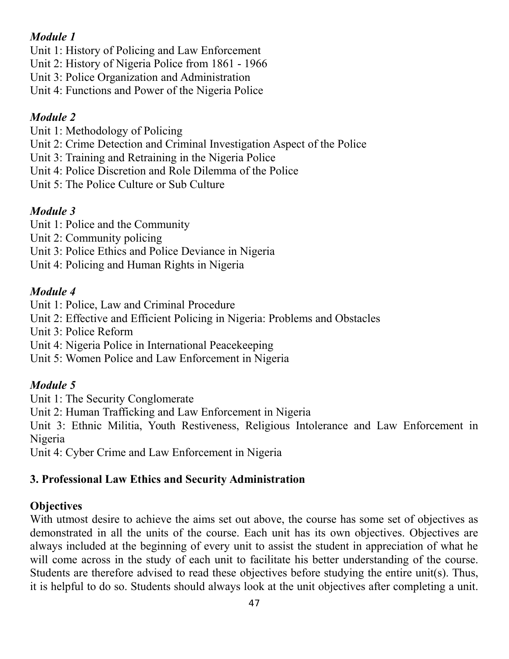## *Module 1*

Unit 1: History of Policing and Law Enforcement

Unit 2: History of Nigeria Police from 1861 - 1966

Unit 3: Police Organization and Administration

Unit 4: Functions and Power of the Nigeria Police

## *Module 2*

Unit 1: Methodology of Policing

Unit 2: Crime Detection and Criminal Investigation Aspect of the Police

Unit 3: Training and Retraining in the Nigeria Police

Unit 4: Police Discretion and Role Dilemma of the Police

Unit 5: The Police Culture or Sub Culture

## *Module 3*

Unit 1: Police and the Community

Unit 2: Community policing

Unit 3: Police Ethics and Police Deviance in Nigeria

Unit 4: Policing and Human Rights in Nigeria

## *Module 4*

Unit 1: Police, Law and Criminal Procedure

Unit 2: Effective and Efficient Policing in Nigeria: Problems and Obstacles

Unit 3: Police Reform

Unit 4: Nigeria Police in International Peacekeeping

Unit 5: Women Police and Law Enforcement in Nigeria

## *Module 5*

Unit 1: The Security Conglomerate

Unit 2: Human Trafficking and Law Enforcement in Nigeria

Unit 3: Ethnic Militia, Youth Restiveness, Religious Intolerance and Law Enforcement in Nigeria

Unit 4: Cyber Crime and Law Enforcement in Nigeria

## **3. Professional Law Ethics and Security Administration**

## **Objectives**

With utmost desire to achieve the aims set out above, the course has some set of objectives as demonstrated in all the units of the course. Each unit has its own objectives. Objectives are always included at the beginning of every unit to assist the student in appreciation of what he will come across in the study of each unit to facilitate his better understanding of the course. Students are therefore advised to read these objectives before studying the entire unit(s). Thus, it is helpful to do so. Students should always look at the unit objectives after completing a unit.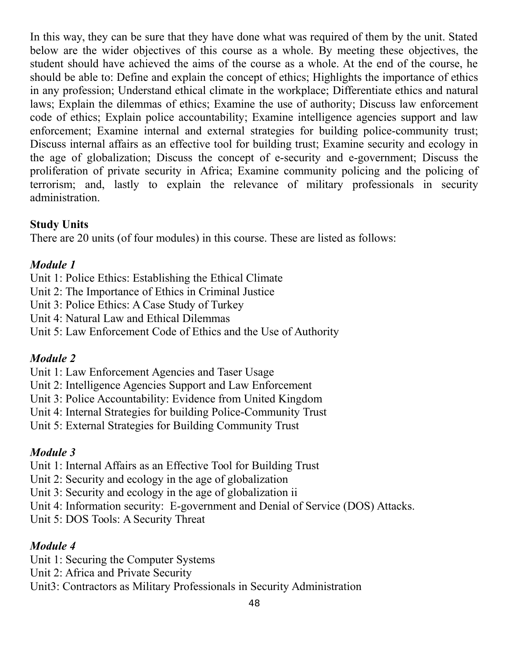In this way, they can be sure that they have done what was required of them by the unit. Stated below are the wider objectives of this course as a whole. By meeting these objectives, the student should have achieved the aims of the course as a whole. At the end of the course, he should be able to: Define and explain the concept of ethics; Highlights the importance of ethics in any profession; Understand ethical climate in the workplace; Differentiate ethics and natural laws; Explain the dilemmas of ethics; Examine the use of authority; Discuss law enforcement code of ethics; Explain police accountability; Examine intelligence agencies support and law enforcement; Examine internal and external strategies for building police-community trust; Discuss internal affairs as an effective tool for building trust; Examine security and ecology in the age of globalization; Discuss the concept of e-security and e-government; Discuss the proliferation of private security in Africa; Examine community policing and the policing of terrorism; and, lastly to explain the relevance of military professionals in security administration.

### **Study Units**

There are 20 units (of four modules) in this course. These are listed as follows:

### *Module 1*

Unit 1: Police Ethics: Establishing the Ethical Climate

- Unit 2: The Importance of Ethics in Criminal Justice
- Unit 3: Police Ethics: A Case Study of Turkey
- Unit 4: Natural Law and Ethical Dilemmas
- Unit 5: Law Enforcement Code of Ethics and the Use of Authority

### *Module 2*

Unit 1: Law Enforcement Agencies and Taser Usage

- Unit 2: Intelligence Agencies Support and Law Enforcement
- Unit 3: Police Accountability: Evidence from United Kingdom
- Unit 4: Internal Strategies for building Police-Community Trust
- Unit 5: External Strategies for Building Community Trust

### *Module 3*

- Unit 1: Internal Affairs as an Effective Tool for Building Trust
- Unit 2: Security and ecology in the age of globalization
- Unit 3: Security and ecology in the age of globalization ii
- Unit 4: Information security: E-government and Denial of Service (DOS) Attacks.
- Unit 5: DOS Tools: A Security Threat

### *Module 4*

- Unit 1: Securing the Computer Systems
- Unit 2: Africa and Private Security
- Unit3: Contractors as Military Professionals in Security Administration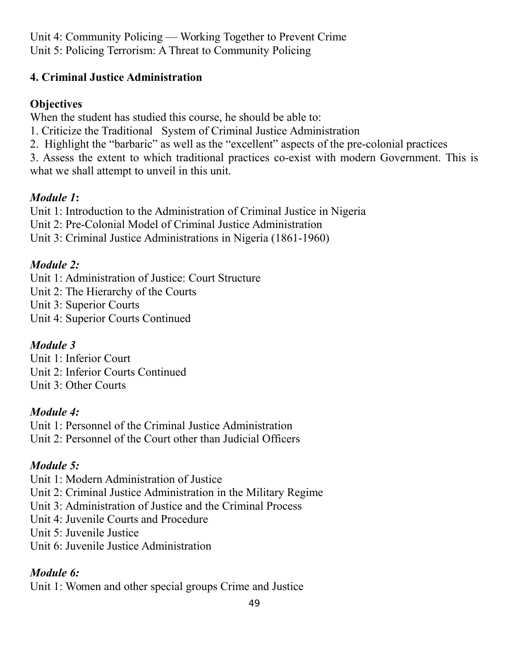Unit 4: Community Policing — Working Together to Prevent Crime Unit 5: Policing Terrorism: A Threat to Community Policing

### **4. Criminal Justice Administration**

### **Objectives**

When the student has studied this course, he should be able to:

- 1. Criticize the Traditional System of Criminal Justice Administration
- 2. Highlight the "barbaric" as well as the "excellent" aspects of the pre-colonial practices

3. Assess the extent to which traditional practices co-exist with modern Government. This is what we shall attempt to unveil in this unit.

## *Module 1***:**

Unit 1: Introduction to the Administration of Criminal Justice in Nigeria

Unit 2: Pre-Colonial Model of Criminal Justice Administration

Unit 3: Criminal Justice Administrations in Nigeria (1861-1960)

## *Module 2:*

Unit 1: Administration of Justice: Court Structure

Unit 2: The Hierarchy of the Courts

Unit 3: Superior Courts

Unit 4: Superior Courts Continued

## *Module 3*

Unit 1: Inferior Court Unit 2: Inferior Courts Continued Unit 3: Other Courts

## *Module 4:*

Unit 1: Personnel of the Criminal Justice Administration Unit 2: Personnel of the Court other than Judicial Officers

# *Module 5:*

Unit 1: Modern Administration of Justice

- Unit 2: Criminal Justice Administration in the Military Regime
- Unit 3: Administration of Justice and the Criminal Process
- Unit 4: Juvenile Courts and Procedure

Unit 5: Juvenile Justice

Unit 6: Juvenile Justice Administration

# *Module 6:*

Unit 1: Women and other special groups Crime and Justice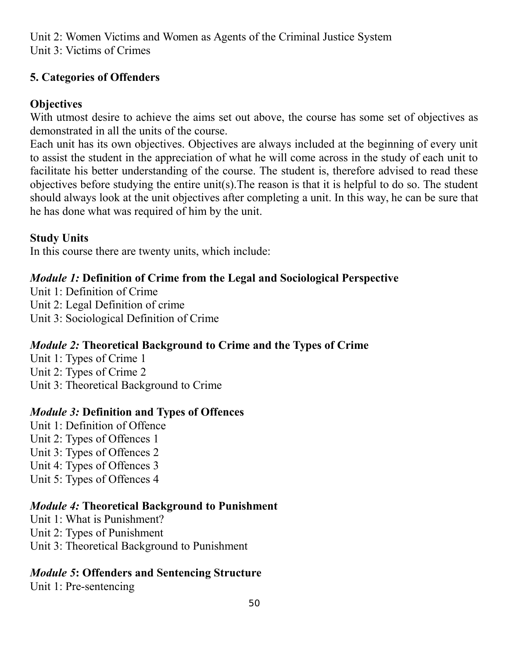Unit 2: Women Victims and Women as Agents of the Criminal Justice System Unit 3: Victims of Crimes

### **5. Categories of Offenders**

### **Objectives**

With utmost desire to achieve the aims set out above, the course has some set of objectives as demonstrated in all the units of the course.

Each unit has its own objectives. Objectives are always included at the beginning of every unit to assist the student in the appreciation of what he will come across in the study of each unit to facilitate his better understanding of the course. The student is, therefore advised to read these objectives before studying the entire unit(s).The reason is that it is helpful to do so. The student should always look at the unit objectives after completing a unit. In this way, he can be sure that he has done what was required of him by the unit.

### **Study Units**

In this course there are twenty units, which include:

### *Module 1:* **Definition of Crime from the Legal and Sociological Perspective**

- Unit 1: Definition of Crime
- Unit 2: Legal Definition of crime
- Unit 3: Sociological Definition of Crime

### *Module 2:* **Theoretical Background to Crime and the Types of Crime**

- Unit 1: Types of Crime 1
- Unit 2: Types of Crime 2
- Unit 3: Theoretical Background to Crime

### *Module 3:* **Definition and Types of Offences**

- Unit 1: Definition of Offence
- Unit 2: Types of Offences 1
- Unit 3: Types of Offences 2
- Unit 4: Types of Offences 3
- Unit 5: Types of Offences 4

### *Module 4:* **Theoretical Background to Punishment**

- Unit 1: What is Punishment?
- Unit 2: Types of Punishment
- Unit 3: Theoretical Background to Punishment

### *Module 5***: Offenders and Sentencing Structure**

Unit 1: Pre-sentencing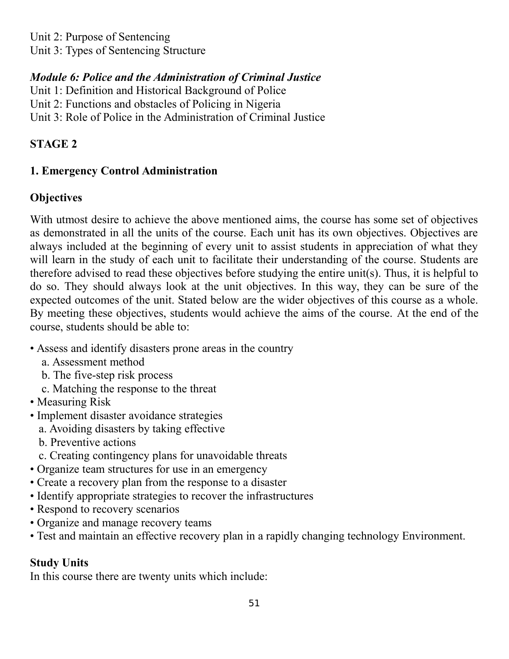Unit 2: Purpose of Sentencing

Unit 3: Types of Sentencing Structure

## *Module 6: Police and the Administration of Criminal Justice*

Unit 1: Definition and Historical Background of Police

Unit 2: Functions and obstacles of Policing in Nigeria

Unit 3: Role of Police in the Administration of Criminal Justice

## **STAGE 2**

## **1. Emergency Control Administration**

## **Objectives**

With utmost desire to achieve the above mentioned aims, the course has some set of objectives as demonstrated in all the units of the course. Each unit has its own objectives. Objectives are always included at the beginning of every unit to assist students in appreciation of what they will learn in the study of each unit to facilitate their understanding of the course. Students are therefore advised to read these objectives before studying the entire unit(s). Thus, it is helpful to do so. They should always look at the unit objectives. In this way, they can be sure of the expected outcomes of the unit. Stated below are the wider objectives of this course as a whole. By meeting these objectives, students would achieve the aims of the course. At the end of the course, students should be able to:

- Assess and identify disasters prone areas in the country
	- a. Assessment method
	- b. The five-step risk process
	- c. Matching the response to the threat
- Measuring Risk
- Implement disaster avoidance strategies
	- a. Avoiding disasters by taking effective
	- b. Preventive actions
	- c. Creating contingency plans for unavoidable threats
- Organize team structures for use in an emergency
- Create a recovery plan from the response to a disaster
- Identify appropriate strategies to recover the infrastructures
- Respond to recovery scenarios
- Organize and manage recovery teams
- Test and maintain an effective recovery plan in a rapidly changing technology Environment.

### **Study Units**

In this course there are twenty units which include: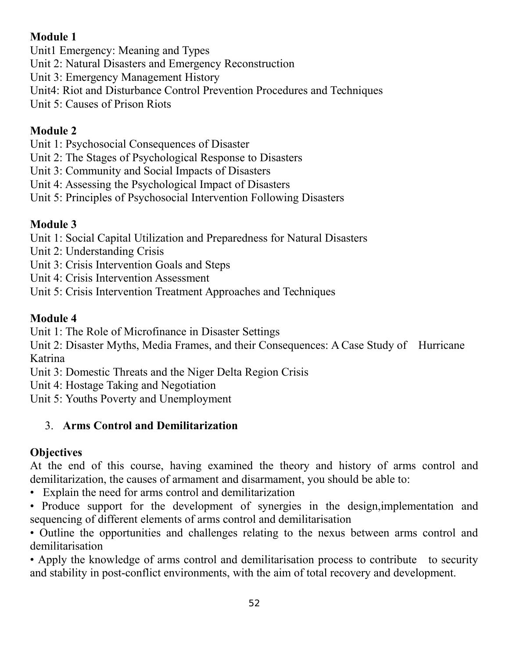## **Module 1**

Unit1 Emergency: Meaning and Types

- Unit 2: Natural Disasters and Emergency Reconstruction
- Unit 3: Emergency Management History
- Unit4: Riot and Disturbance Control Prevention Procedures and Techniques
- Unit 5: Causes of Prison Riots

## **Module 2**

- Unit 1: Psychosocial Consequences of Disaster
- Unit 2: The Stages of Psychological Response to Disasters
- Unit 3: Community and Social Impacts of Disasters
- Unit 4: Assessing the Psychological Impact of Disasters
- Unit 5: Principles of Psychosocial Intervention Following Disasters

# **Module 3**

Unit 1: Social Capital Utilization and Preparedness for Natural Disasters

- Unit 2: Understanding Crisis
- Unit 3: Crisis Intervention Goals and Steps
- Unit 4: Crisis Intervention Assessment
- Unit 5: Crisis Intervention Treatment Approaches and Techniques

## **Module 4**

Unit 1: The Role of Microfinance in Disaster Settings

Unit 2: Disaster Myths, Media Frames, and their Consequences: A Case Study of Hurricane Katrina

Unit 3: Domestic Threats and the Niger Delta Region Crisis

Unit 4: Hostage Taking and Negotiation

Unit 5: Youths Poverty and Unemployment

# 3. **Arms Control and Demilitarization**

# **Objectives**

At the end of this course, having examined the theory and history of arms control and demilitarization, the causes of armament and disarmament, you should be able to:

- Explain the need for arms control and demilitarization
- Produce support for the development of synergies in the design,implementation and sequencing of different elements of arms control and demilitarisation
- Outline the opportunities and challenges relating to the nexus between arms control and demilitarisation

• Apply the knowledge of arms control and demilitarisation process to contribute to security and stability in post-conflict environments, with the aim of total recovery and development.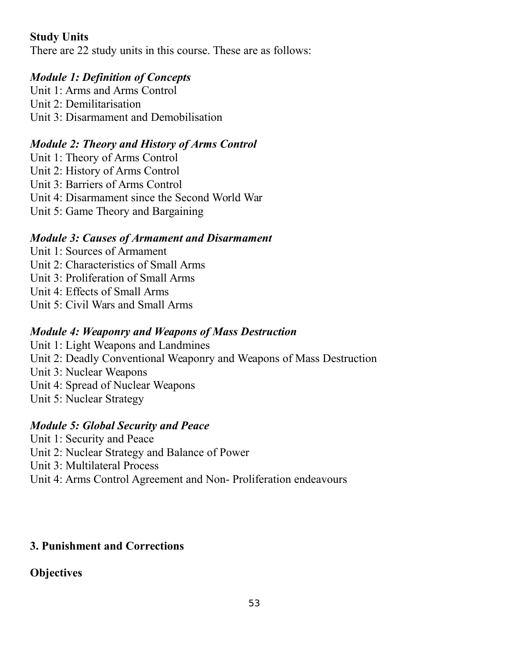### **Study Units**

There are 22 study units in this course. These are as follows:

### *Module 1: Definition of Concepts*

Unit 1: Arms and Arms Control Unit 2: Demilitarisation Unit 3: Disarmament and Demobilisation

### *Module 2: Theory and History of Arms Control*

Unit 1: Theory of Arms Control Unit 2: History of Arms Control Unit 3: Barriers of Arms Control Unit 4: Disarmament since the Second World War Unit 5: Game Theory and Bargaining

### *Module 3: Causes of Armament and Disarmament*

- Unit 1: Sources of Armament
- Unit 2: Characteristics of Small Arms
- Unit 3: Proliferation of Small Arms
- Unit 4: Effects of Small Arms
- Unit 5: Civil Wars and Small Arms

### *Module 4: Weaponry and Weapons of Mass Destruction*

- Unit 1: Light Weapons and Landmines
- Unit 2: Deadly Conventional Weaponry and Weapons of Mass Destruction
- Unit 3: Nuclear Weapons
- Unit 4: Spread of Nuclear Weapons
- Unit 5: Nuclear Strategy

### *Module 5: Global Security and Peace*

- Unit 1: Security and Peace
- Unit 2: Nuclear Strategy and Balance of Power
- Unit 3: Multilateral Process
- Unit 4: Arms Control Agreement and Non- Proliferation endeavours

### **3. Punishment and Corrections**

### **Objectives**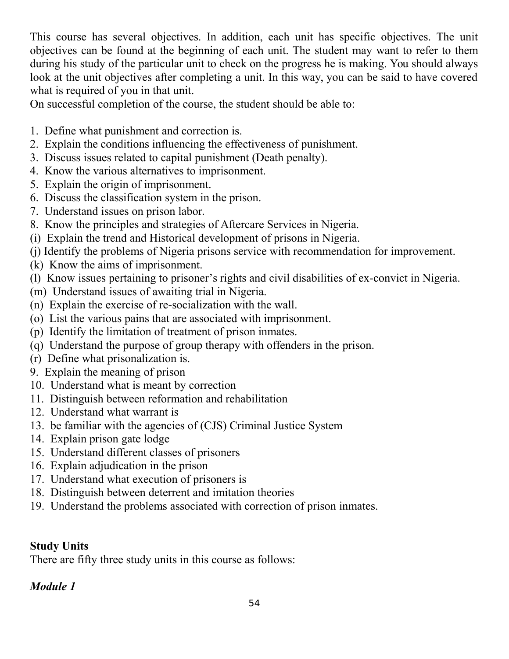This course has several objectives. In addition, each unit has specific objectives. The unit objectives can be found at the beginning of each unit. The student may want to refer to them during his study of the particular unit to check on the progress he is making. You should always look at the unit objectives after completing a unit. In this way, you can be said to have covered what is required of you in that unit.

On successful completion of the course, the student should be able to:

- 1. Define what punishment and correction is.
- 2. Explain the conditions influencing the effectiveness of punishment.
- 3. Discuss issues related to capital punishment (Death penalty).
- 4. Know the various alternatives to imprisonment.
- 5. Explain the origin of imprisonment.
- 6. Discuss the classification system in the prison.
- 7. Understand issues on prison labor.
- 8. Know the principles and strategies of Aftercare Services in Nigeria.
- (i) Explain the trend and Historical development of prisons in Nigeria.
- (j) Identify the problems of Nigeria prisons service with recommendation for improvement.
- (k) Know the aims of imprisonment.
- (l) Know issues pertaining to prisoner's rights and civil disabilities of ex-convict in Nigeria.
- (m) Understand issues of awaiting trial in Nigeria.
- (n) Explain the exercise of re-socialization with the wall.
- (o) List the various pains that are associated with imprisonment.
- (p) Identify the limitation of treatment of prison inmates.
- (q) Understand the purpose of group therapy with offenders in the prison.
- (r) Define what prisonalization is.
- 9. Explain the meaning of prison
- 10. Understand what is meant by correction
- 11. Distinguish between reformation and rehabilitation
- 12. Understand what warrant is
- 13. be familiar with the agencies of (CJS) Criminal Justice System
- 14. Explain prison gate lodge
- 15. Understand different classes of prisoners
- 16. Explain adjudication in the prison
- 17. Understand what execution of prisoners is
- 18. Distinguish between deterrent and imitation theories
- 19. Understand the problems associated with correction of prison inmates.

# **Study Units**

There are fifty three study units in this course as follows:

## *Module 1*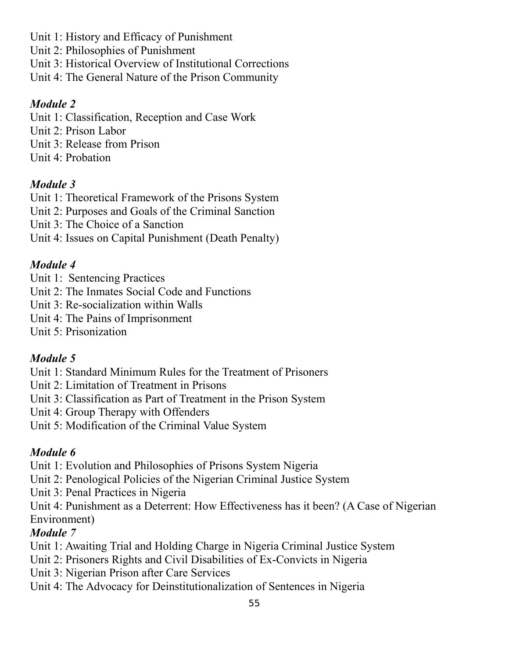- Unit 1: History and Efficacy of Punishment
- Unit 2: Philosophies of Punishment
- Unit 3: Historical Overview of Institutional Corrections
- Unit 4: The General Nature of the Prison Community

## *Module 2*

- Unit 1: Classification, Reception and Case Work
- Unit 2: Prison Labor
- Unit 3: Release from Prison
- Unit 4: Probation

# *Module 3*

- Unit 1: Theoretical Framework of the Prisons System
- Unit 2: Purposes and Goals of the Criminal Sanction
- Unit 3: The Choice of a Sanction
- Unit 4: Issues on Capital Punishment (Death Penalty)

# *Module 4*

- Unit 1: Sentencing Practices
- Unit 2: The Inmates Social Code and Functions
- Unit 3: Re-socialization within Walls
- Unit 4: The Pains of Imprisonment
- Unit 5: Prisonization

# *Module 5*

- Unit 1: Standard Minimum Rules for the Treatment of Prisoners
- Unit 2: Limitation of Treatment in Prisons
- Unit 3: Classification as Part of Treatment in the Prison System
- Unit 4: Group Therapy with Offenders
- Unit 5: Modification of the Criminal Value System

# *Module 6*

- Unit 1: Evolution and Philosophies of Prisons System Nigeria
- Unit 2: Penological Policies of the Nigerian Criminal Justice System
- Unit 3: Penal Practices in Nigeria
- Unit 4: Punishment as a Deterrent: How Effectiveness has it been? (A Case of Nigerian Environment)

# *Module 7*

- Unit 1: Awaiting Trial and Holding Charge in Nigeria Criminal Justice System
- Unit 2: Prisoners Rights and Civil Disabilities of Ex-Convicts in Nigeria
- Unit 3: Nigerian Prison after Care Services
- Unit 4: The Advocacy for Deinstitutionalization of Sentences in Nigeria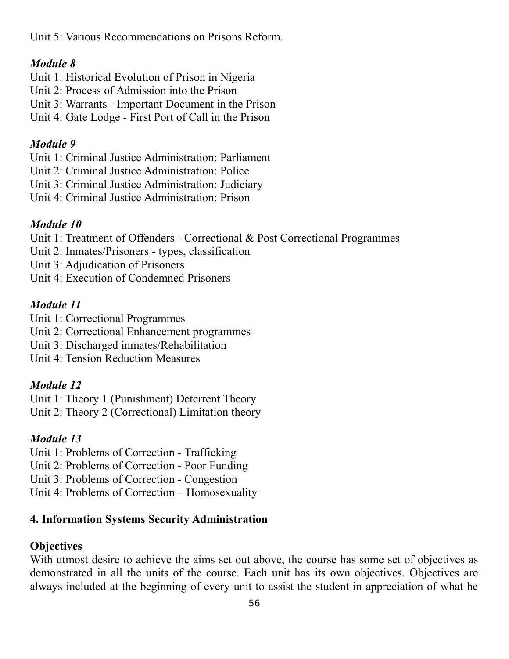Unit 5: Various Recommendations on Prisons Reform.

### *Module 8*

- Unit 1: Historical Evolution of Prison in Nigeria
- Unit 2: Process of Admission into the Prison
- Unit 3: Warrants Important Document in the Prison
- Unit 4: Gate Lodge First Port of Call in the Prison

### *Module 9*

Unit 1: Criminal Justice Administration: Parliament

- Unit 2: Criminal Justice Administration: Police
- Unit 3: Criminal Justice Administration: Judiciary
- Unit 4: Criminal Justice Administration: Prison

### *Module 10*

Unit 1: Treatment of Offenders - Correctional & Post Correctional Programmes

- Unit 2: Inmates/Prisoners types, classification
- Unit 3: Adjudication of Prisoners

Unit 4: Execution of Condemned Prisoners

### *Module 11*

Unit 1: Correctional Programmes

- Unit 2: Correctional Enhancement programmes
- Unit 3: Discharged inmates/Rehabilitation
- Unit 4: Tension Reduction Measures

### *Module 12*

Unit 1: Theory 1 (Punishment) Deterrent Theory Unit 2: Theory 2 (Correctional) Limitation theory

### *Module 13*

Unit 1: Problems of Correction - Trafficking

Unit 2: Problems of Correction - Poor Funding

Unit 3: Problems of Correction - Congestion

Unit 4: Problems of Correction – Homosexuality

### **4. Information Systems Security Administration**

### **Objectives**

With utmost desire to achieve the aims set out above, the course has some set of objectives as demonstrated in all the units of the course. Each unit has its own objectives. Objectives are always included at the beginning of every unit to assist the student in appreciation of what he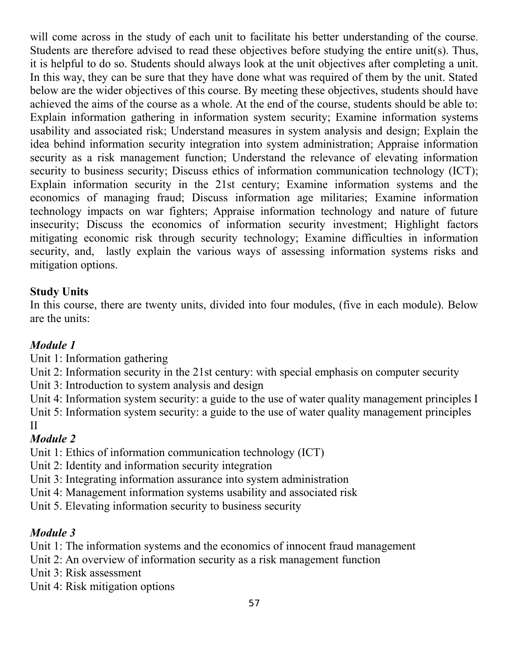will come across in the study of each unit to facilitate his better understanding of the course*.* Students are therefore advised to read these objectives before studying the entire unit(s). Thus, it is helpful to do so. Students should always look at the unit objectives after completing a unit. In this way, they can be sure that they have done what was required of them by the unit. Stated below are the wider objectives of this course. By meeting these objectives, students should have achieved the aims of the course as a whole. At the end of the course, students should be able to: Explain information gathering in information system security; Examine information systems usability and associated risk; Understand measures in system analysis and design; Explain the idea behind information security integration into system administration; Appraise information security as a risk management function; Understand the relevance of elevating information security to business security; Discuss ethics of information communication technology (ICT); Explain information security in the 21st century; Examine information systems and the economics of managing fraud; Discuss information age militaries; Examine information technology impacts on war fighters; Appraise information technology and nature of future insecurity; Discuss the economics of information security investment; Highlight factors mitigating economic risk through security technology; Examine difficulties in information security, and, lastly explain the various ways of assessing information systems risks and mitigation options.

### **Study Units**

In this course, there are twenty units, divided into four modules, (five in each module). Below are the units:

### *Module 1*

Unit 1: Information gathering

Unit 2: Information security in the 21st century: with special emphasis on computer security

Unit 3: Introduction to system analysis and design

Unit 4: Information system security: a guide to the use of water quality management principles I Unit 5: Information system security: a guide to the use of water quality management principles II

### *Module 2*

- Unit 1: Ethics of information communication technology (ICT)
- Unit 2: Identity and information security integration
- Unit 3: Integrating information assurance into system administration
- Unit 4: Management information systems usability and associated risk
- Unit 5. Elevating information security to business security

## *Module 3*

Unit 1: The information systems and the economics of innocent fraud management

- Unit 2: An overview of information security as a risk management function
- Unit 3: Risk assessment
- Unit 4: Risk mitigation options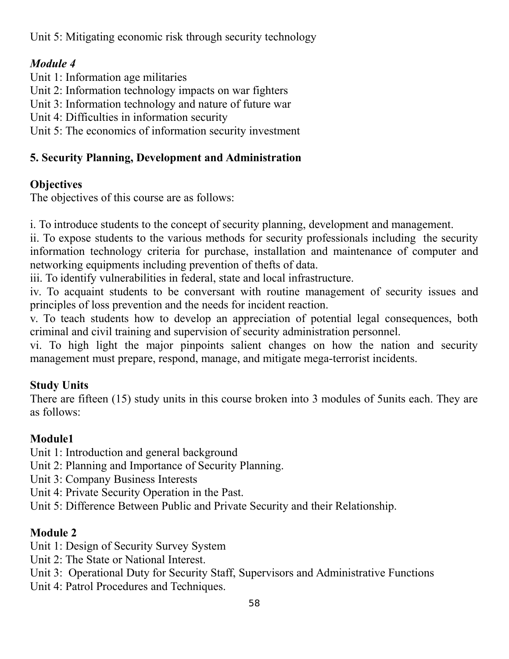Unit 5: Mitigating economic risk through security technology

## *Module 4*

- Unit 1: Information age militaries
- Unit 2: Information technology impacts on war fighters
- Unit 3: Information technology and nature of future war
- Unit 4: Difficulties in information security
- Unit 5: The economics of information security investment

## **5. Security Planning, Development and Administration**

# **Objectives**

The objectives of this course are as follows:

i. To introduce students to the concept of security planning, development and management.

ii. To expose students to the various methods for security professionals including the security information technology criteria for purchase, installation and maintenance of computer and networking equipments including prevention of thefts of data.

iii. To identify vulnerabilities in federal, state and local infrastructure.

iv. To acquaint students to be conversant with routine management of security issues and principles of loss prevention and the needs for incident reaction.

v. To teach students how to develop an appreciation of potential legal consequences, both criminal and civil training and supervision of security administration personnel.

vi. To high light the major pinpoints salient changes on how the nation and security management must prepare, respond, manage, and mitigate mega-terrorist incidents.

# **Study Units**

There are fifteen (15) study units in this course broken into 3 modules of 5units each. They are as follows:

# **Module1**

- Unit 1: Introduction and general background
- Unit 2: Planning and Importance of Security Planning.
- Unit 3: Company Business Interests
- Unit 4: Private Security Operation in the Past.
- Unit 5: Difference Between Public and Private Security and their Relationship.

# **Module 2**

- Unit 1: Design of Security Survey System
- Unit 2: The State or National Interest.
- Unit 3: Operational Duty for Security Staff, Supervisors and Administrative Functions
- Unit 4: Patrol Procedures and Techniques.